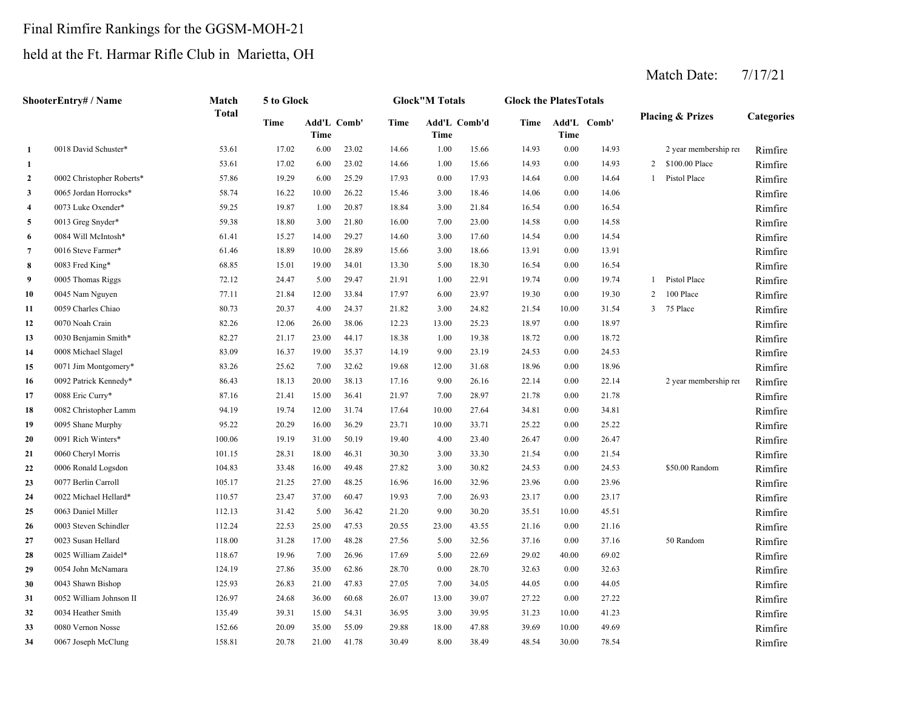# Final Rimfire Rankings for the GGSM-MOH-21

# held at the Ft. Harmar Rifle Club in Marietta, OH

|                         | ShooterEntry# / Name      | Match        | 5 to Glock |                     |       |       | <b>Glock</b> "M Totals |       | <b>Glock the PlatesTotals</b> |       |             |                |                             |            |
|-------------------------|---------------------------|--------------|------------|---------------------|-------|-------|------------------------|-------|-------------------------------|-------|-------------|----------------|-----------------------------|------------|
|                         |                           | <b>Total</b> | Time       | Add'L Comb'<br>Time |       | Time  | Add'L Comb'd<br>Time   |       | Time                          | Time  | Add'L Comb' |                | <b>Placing &amp; Prizes</b> | Categories |
| 1                       | 0018 David Schuster*      | 53.61        | 17.02      | 6.00                | 23.02 | 14.66 | 1.00                   | 15.66 | 14.93                         | 0.00  | 14.93       |                | 2 year membership rei       | Rimfire    |
| 1                       |                           | 53.61        | 17.02      | 6.00                | 23.02 | 14.66 | 1.00                   | 15.66 | 14.93                         | 0.00  | 14.93       | 2              | \$100.00 Place              | Rimfire    |
| $\overline{2}$          | 0002 Christopher Roberts* | 57.86        | 19.29      | 6.00                | 25.29 | 17.93 | 0.00                   | 17.93 | 14.64                         | 0.00  | 14.64       | $\mathbf{1}$   | Pistol Place                | Rimfire    |
| $\mathbf{3}$            | 0065 Jordan Horrocks*     | 58.74        | 16.22      | 10.00               | 26.22 | 15.46 | 3.00                   | 18.46 | 14.06                         | 0.00  | 14.06       |                |                             | Rimfire    |
| $\overline{\mathbf{4}}$ | 0073 Luke Oxender*        | 59.25        | 19.87      | 1.00                | 20.87 | 18.84 | 3.00                   | 21.84 | 16.54                         | 0.00  | 16.54       |                |                             | Rimfire    |
| 5                       | 0013 Greg Snyder*         | 59.38        | 18.80      | 3.00                | 21.80 | 16.00 | 7.00                   | 23.00 | 14.58                         | 0.00  | 14.58       |                |                             | Rimfire    |
| 6                       | 0084 Will McIntosh*       | 61.41        | 15.27      | 14.00               | 29.27 | 14.60 | 3.00                   | 17.60 | 14.54                         | 0.00  | 14.54       |                |                             | Rimfire    |
| 7                       | 0016 Steve Farmer*        | 61.46        | 18.89      | 10.00               | 28.89 | 15.66 | 3.00                   | 18.66 | 13.91                         | 0.00  | 13.91       |                |                             | Rimfire    |
| 8                       | 0083 Fred King*           | 68.85        | 15.01      | 19.00               | 34.01 | 13.30 | 5.00                   | 18.30 | 16.54                         | 0.00  | 16.54       |                |                             | Rimfire    |
| 9                       | 0005 Thomas Riggs         | 72.12        | 24.47      | 5.00                | 29.47 | 21.91 | 1.00                   | 22.91 | 19.74                         | 0.00  | 19.74       | $\mathbf{1}$   | Pistol Place                | Rimfire    |
| 10                      | 0045 Nam Nguyen           | 77.11        | 21.84      | 12.00               | 33.84 | 17.97 | 6.00                   | 23.97 | 19.30                         | 0.00  | 19.30       | $\overline{2}$ | 100 Place                   | Rimfire    |
| 11                      | 0059 Charles Chiao        | 80.73        | 20.37      | 4.00                | 24.37 | 21.82 | 3.00                   | 24.82 | 21.54                         | 10.00 | 31.54       | $\mathbf{3}$   | 75 Place                    | Rimfire    |
| 12                      | 0070 Noah Crain           | 82.26        | 12.06      | 26.00               | 38.06 | 12.23 | 13.00                  | 25.23 | 18.97                         | 0.00  | 18.97       |                |                             | Rimfire    |
| 13                      | 0030 Benjamin Smith*      | 82.27        | 21.17      | 23.00               | 44.17 | 18.38 | 1.00                   | 19.38 | 18.72                         | 0.00  | 18.72       |                |                             | Rimfire    |
| 14                      | 0008 Michael Slagel       | 83.09        | 16.37      | 19.00               | 35.37 | 14.19 | 9.00                   | 23.19 | 24.53                         | 0.00  | 24.53       |                |                             | Rimfire    |
| 15                      | 0071 Jim Montgomery*      | 83.26        | 25.62      | 7.00                | 32.62 | 19.68 | 12.00                  | 31.68 | 18.96                         | 0.00  | 18.96       |                |                             | Rimfire    |
| 16                      | 0092 Patrick Kennedy*     | 86.43        | 18.13      | 20.00               | 38.13 | 17.16 | 9.00                   | 26.16 | 22.14                         | 0.00  | 22.14       |                | 2 year membership rei       | Rimfire    |
| 17                      | 0088 Eric Curry*          | 87.16        | 21.41      | 15.00               | 36.41 | 21.97 | 7.00                   | 28.97 | 21.78                         | 0.00  | 21.78       |                |                             | Rimfire    |
| 18                      | 0082 Christopher Lamm     | 94.19        | 19.74      | 12.00               | 31.74 | 17.64 | 10.00                  | 27.64 | 34.81                         | 0.00  | 34.81       |                |                             | Rimfire    |
| 19                      | 0095 Shane Murphy         | 95.22        | 20.29      | 16.00               | 36.29 | 23.71 | 10.00                  | 33.71 | 25.22                         | 0.00  | 25.22       |                |                             | Rimfire    |
| 20                      | 0091 Rich Winters*        | 100.06       | 19.19      | 31.00               | 50.19 | 19.40 | 4.00                   | 23.40 | 26.47                         | 0.00  | 26.47       |                |                             | Rimfire    |
| 21                      | 0060 Cheryl Morris        | 101.15       | 28.31      | 18.00               | 46.31 | 30.30 | 3.00                   | 33.30 | 21.54                         | 0.00  | 21.54       |                |                             | Rimfire    |
| 22                      | 0006 Ronald Logsdon       | 104.83       | 33.48      | 16.00               | 49.48 | 27.82 | 3.00                   | 30.82 | 24.53                         | 0.00  | 24.53       |                | \$50.00 Random              | Rimfire    |
| 23                      | 0077 Berlin Carroll       | 105.17       | 21.25      | 27.00               | 48.25 | 16.96 | 16.00                  | 32.96 | 23.96                         | 0.00  | 23.96       |                |                             | Rimfire    |
| 24                      | 0022 Michael Hellard*     | 110.57       | 23.47      | 37.00               | 60.47 | 19.93 | 7.00                   | 26.93 | 23.17                         | 0.00  | 23.17       |                |                             | Rimfire    |
| 25                      | 0063 Daniel Miller        | 112.13       | 31.42      | 5.00                | 36.42 | 21.20 | 9.00                   | 30.20 | 35.51                         | 10.00 | 45.51       |                |                             | Rimfire    |
| 26                      | 0003 Steven Schindler     | 112.24       | 22.53      | 25.00               | 47.53 | 20.55 | 23.00                  | 43.55 | 21.16                         | 0.00  | 21.16       |                |                             | Rimfire    |
| 27                      | 0023 Susan Hellard        | 118.00       | 31.28      | 17.00               | 48.28 | 27.56 | 5.00                   | 32.56 | 37.16                         | 0.00  | 37.16       |                | 50 Random                   | Rimfire    |
| 28                      | 0025 William Zaidel*      | 118.67       | 19.96      | 7.00                | 26.96 | 17.69 | 5.00                   | 22.69 | 29.02                         | 40.00 | 69.02       |                |                             | Rimfire    |
| 29                      | 0054 John McNamara        | 124.19       | 27.86      | 35.00               | 62.86 | 28.70 | 0.00                   | 28.70 | 32.63                         | 0.00  | 32.63       |                |                             | Rimfire    |
| 30                      | 0043 Shawn Bishop         | 125.93       | 26.83      | 21.00               | 47.83 | 27.05 | 7.00                   | 34.05 | 44.05                         | 0.00  | 44.05       |                |                             | Rimfire    |
| 31                      | 0052 William Johnson II   | 126.97       | 24.68      | 36.00               | 60.68 | 26.07 | 13.00                  | 39.07 | 27.22                         | 0.00  | 27.22       |                |                             | Rimfire    |
| 32                      | 0034 Heather Smith        | 135.49       | 39.31      | 15.00               | 54.31 | 36.95 | 3.00                   | 39.95 | 31.23                         | 10.00 | 41.23       |                |                             | Rimfire    |
| 33                      | 0080 Vernon Nosse         | 152.66       | 20.09      | 35.00               | 55.09 | 29.88 | 18.00                  | 47.88 | 39.69                         | 10.00 | 49.69       |                |                             | Rimfire    |
| 34                      | 0067 Joseph McClung       | 158.81       | 20.78      | 21.00               | 41.78 | 30.49 | 8.00                   | 38.49 | 48.54                         | 30.00 | 78.54       |                |                             | Rimfire    |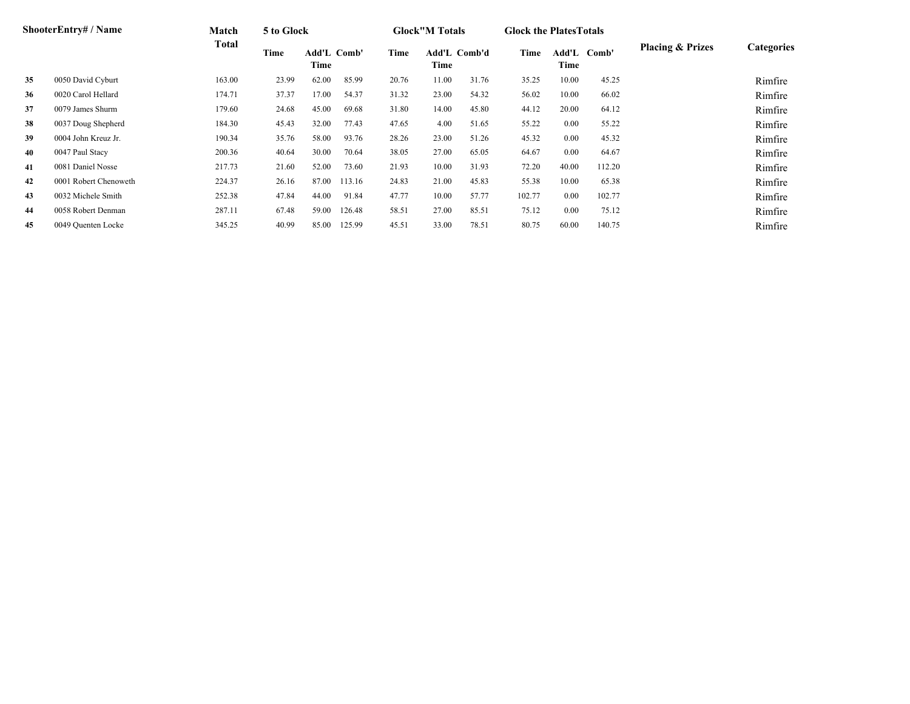|    | <b>ShooterEntry#/Name</b> | Match  | 5 to Glock |                     |        |       | <b>Glock</b> "M Totals |                     | <b>Glock the Plates Totals</b> |               |        |                             |                   |
|----|---------------------------|--------|------------|---------------------|--------|-------|------------------------|---------------------|--------------------------------|---------------|--------|-----------------------------|-------------------|
|    |                           | Total  | Time       | Add'L Comb'<br>Time |        | Time  | Time                   | <b>Add'L Comb'd</b> | Time                           | Add'L<br>Time | Comb'  | <b>Placing &amp; Prizes</b> | <b>Categories</b> |
| 35 | 0050 David Cyburt         | 163.00 | 23.99      | 62.00               | 85.99  | 20.76 | 11.00                  | 31.76               | 35.25                          | 10.00         | 45.25  |                             | Rimfire           |
| 36 | 0020 Carol Hellard        | 174.71 | 37.37      | 17.00               | 54.37  | 31.32 | 23.00                  | 54.32               | 56.02                          | 10.00         | 66.02  |                             | Rimfire           |
| 37 | 0079 James Shurm          | 179.60 | 24.68      | 45.00               | 69.68  | 31.80 | 14.00                  | 45.80               | 44.12                          | 20.00         | 64.12  |                             | Rimfire           |
| 38 | 0037 Doug Shepherd        | 184.30 | 45.43      | 32.00               | 77.43  | 47.65 | 4.00                   | 51.65               | 55.22                          | 0.00          | 55.22  |                             | Rimfire           |
| 39 | 0004 John Kreuz Jr.       | 190.34 | 35.76      | 58.00               | 93.76  | 28.26 | 23.00                  | 51.26               | 45.32                          | 0.00          | 45.32  |                             | Rimfire           |
| 40 | 0047 Paul Stacy           | 200.36 | 40.64      | 30.00               | 70.64  | 38.05 | 27.00                  | 65.05               | 64.67                          | 0.00          | 64.67  |                             | Rimfire           |
| 41 | 0081 Daniel Nosse         | 217.73 | 21.60      | 52.00               | 73.60  | 21.93 | 10.00                  | 31.93               | 72.20                          | 40.00         | 112.20 |                             | Rimfire           |
| 42 | 0001 Robert Chenoweth     | 224.37 | 26.16      | 87.00               | 113.16 | 24.83 | 21.00                  | 45.83               | 55.38                          | 10.00         | 65.38  |                             | Rimfire           |
| 43 | 0032 Michele Smith        | 252.38 | 47.84      | 44.00               | 91.84  | 47.77 | 10.00                  | 57.77               | 102.77                         | 0.00          | 102.77 |                             | Rimfire           |
| 44 | 0058 Robert Denman        | 287.11 | 67.48      | 59.00               | 126.48 | 58.51 | 27.00                  | 85.51               | 75.12                          | 0.00          | 75.12  |                             | Rimfire           |
| 45 | 0049 Quenten Locke        | 345.25 | 40.99      | 85.00               | 125.99 | 45.51 | 33.00                  | 78.51               | 80.75                          | 60.00         | 140.75 |                             | Rimfire           |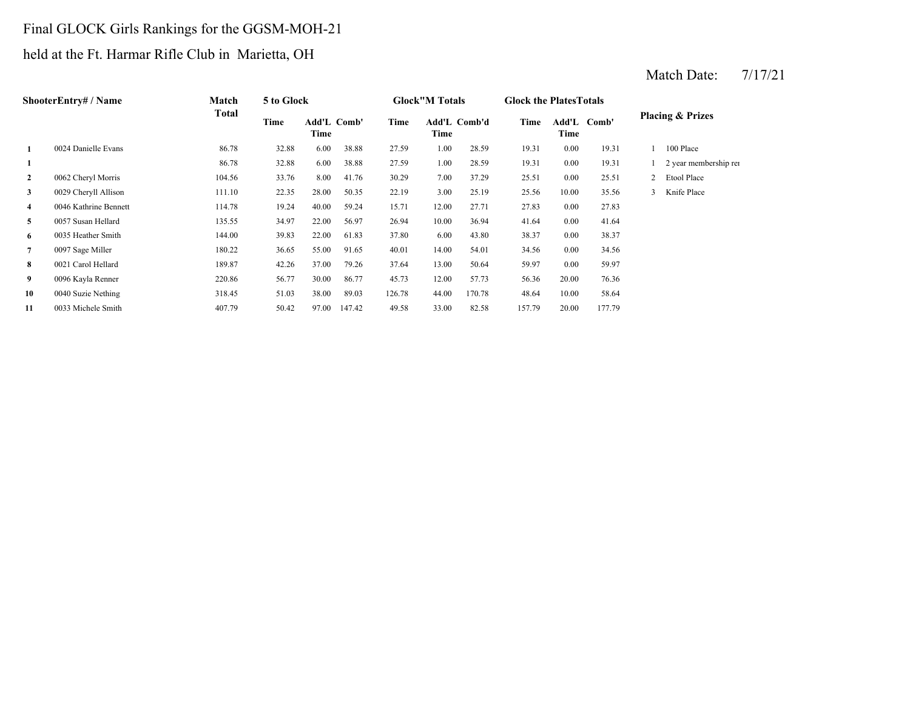# Final GLOCK Girls Rankings for the GGSM-MOH-21

# held at the Ft. Harmar Rifle Club in Marietta, OH

|              | ShooterEntry# / Name  | Match        | 5 to Glock |                            |        |        | <b>Glock</b> "M Totals |        | <b>Glock the Plates Totals</b> |       |             |                             |
|--------------|-----------------------|--------------|------------|----------------------------|--------|--------|------------------------|--------|--------------------------------|-------|-------------|-----------------------------|
|              |                       | <b>Total</b> | Time       | <b>Add'L Comb'</b><br>Time |        | Time   | Add'L Comb'd<br>Time   |        | Time                           | Time  | Add'L Comb' | <b>Placing &amp; Prizes</b> |
|              | 0024 Danielle Evans   | 86.78        | 32.88      | 6.00                       | 38.88  | 27.59  | 1.00                   | 28.59  | 19.31                          | 0.00  | 19.31       | 100 Place                   |
|              |                       | 86.78        | 32.88      | 6.00                       | 38.88  | 27.59  | 1.00                   | 28.59  | 19.31                          | 0.00  | 19.31       | 2 year membership rei       |
| $\mathbf{2}$ | 0062 Cheryl Morris    | 104.56       | 33.76      | 8.00                       | 41.76  | 30.29  | 7.00                   | 37.29  | 25.51                          | 0.00  | 25.51       | Etool Place                 |
| 3            | 0029 Cheryll Allison  | 111.10       | 22.35      | 28.00                      | 50.35  | 22.19  | 3.00                   | 25.19  | 25.56                          | 10.00 | 35.56       | Knife Place                 |
| 4            | 0046 Kathrine Bennett | 114.78       | 19.24      | 40.00                      | 59.24  | 15.71  | 12.00                  | 27.71  | 27.83                          | 0.00  | 27.83       |                             |
| 5            | 0057 Susan Hellard    | 135.55       | 34.97      | 22.00                      | 56.97  | 26.94  | 10.00                  | 36.94  | 41.64                          | 0.00  | 41.64       |                             |
| 6            | 0035 Heather Smith    | 144.00       | 39.83      | 22.00                      | 61.83  | 37.80  | 6.00                   | 43.80  | 38.37                          | 0.00  | 38.37       |                             |
| 7            | 0097 Sage Miller      | 180.22       | 36.65      | 55.00                      | 91.65  | 40.01  | 14.00                  | 54.01  | 34.56                          | 0.00  | 34.56       |                             |
| 8            | 0021 Carol Hellard    | 189.87       | 42.26      | 37.00                      | 79.26  | 37.64  | 13.00                  | 50.64  | 59.97                          | 0.00  | 59.97       |                             |
| 9            | 0096 Kayla Renner     | 220.86       | 56.77      | 30.00                      | 86.77  | 45.73  | 12.00                  | 57.73  | 56.36                          | 20.00 | 76.36       |                             |
| 10           | 0040 Suzie Nething    | 318.45       | 51.03      | 38.00                      | 89.03  | 126.78 | 44.00                  | 170.78 | 48.64                          | 10.00 | 58.64       |                             |
| 11           | 0033 Michele Smith    | 407.79       | 50.42      | 97.00                      | 147.42 | 49.58  | 33.00                  | 82.58  | 157.79                         | 20.00 | 177.79      |                             |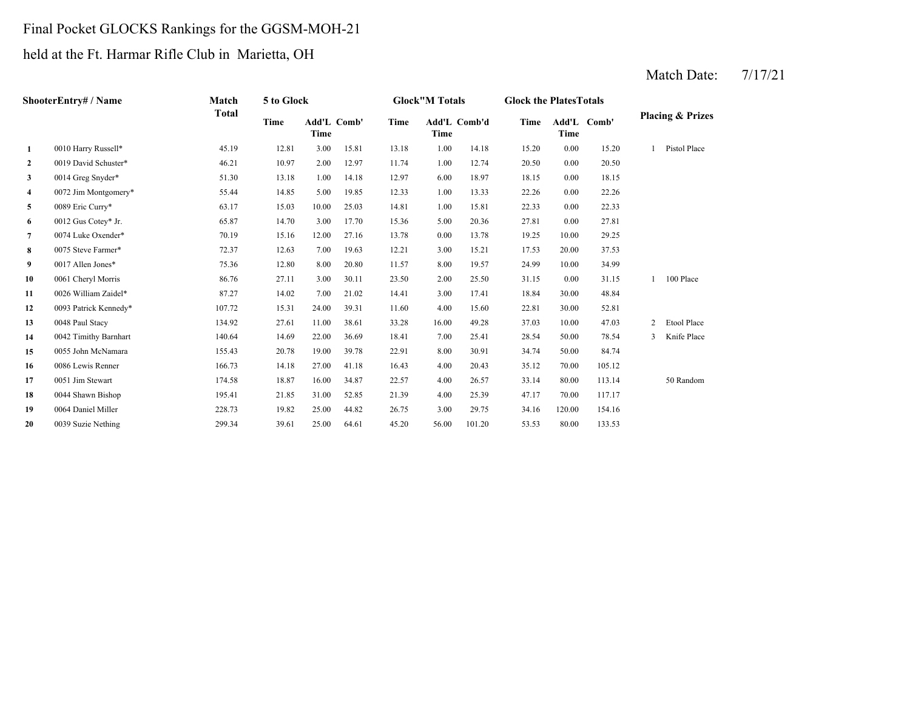# Final Pocket GLOCKS Rankings for the GGSM-MOH-21

# held at the Ft. Harmar Rifle Club in Marietta, OH

|                         | <b>ShooterEntry#/Name</b> | Match        | 5 to Glock |                     |       |       | <b>Glock</b> "M Totals |        | <b>Glock the Plates Totals</b> |        |             |                |                             |
|-------------------------|---------------------------|--------------|------------|---------------------|-------|-------|------------------------|--------|--------------------------------|--------|-------------|----------------|-----------------------------|
|                         |                           | <b>Total</b> | Time       | Add'L Comb'<br>Time |       | Time  | Add'L Comb'd<br>Time   |        | Time                           | Time   | Add'L Comb' |                | <b>Placing &amp; Prizes</b> |
| $\mathbf{1}$            | 0010 Harry Russell*       | 45.19        | 12.81      | 3.00                | 15.81 | 13.18 | 1.00                   | 14.18  | 15.20                          | 0.00   | 15.20       |                | Pistol Place                |
| $\mathbf{2}$            | 0019 David Schuster*      | 46.21        | 10.97      | 2.00                | 12.97 | 11.74 | 1.00                   | 12.74  | 20.50                          | 0.00   | 20.50       |                |                             |
| 3 <sup>7</sup>          | 0014 Greg Snyder*         | 51.30        | 13.18      | 1.00                | 14.18 | 12.97 | 6.00                   | 18.97  | 18.15                          | 0.00   | 18.15       |                |                             |
| $\overline{\mathbf{4}}$ | 0072 Jim Montgomery*      | 55.44        | 14.85      | 5.00                | 19.85 | 12.33 | 1.00                   | 13.33  | 22.26                          | 0.00   | 22.26       |                |                             |
| 5                       | 0089 Eric Curry*          | 63.17        | 15.03      | 10.00               | 25.03 | 14.81 | 1.00                   | 15.81  | 22.33                          | 0.00   | 22.33       |                |                             |
| 6                       | 0012 Gus Cotey* Jr.       | 65.87        | 14.70      | 3.00                | 17.70 | 15.36 | 5.00                   | 20.36  | 27.81                          | 0.00   | 27.81       |                |                             |
| $7\phantom{.0}$         | 0074 Luke Oxender*        | 70.19        | 15.16      | 12.00               | 27.16 | 13.78 | 0.00                   | 13.78  | 19.25                          | 10.00  | 29.25       |                |                             |
| 8                       | 0075 Steve Farmer*        | 72.37        | 12.63      | 7.00                | 19.63 | 12.21 | 3.00                   | 15.21  | 17.53                          | 20.00  | 37.53       |                |                             |
| 9                       | 0017 Allen Jones*         | 75.36        | 12.80      | 8.00                | 20.80 | 11.57 | 8.00                   | 19.57  | 24.99                          | 10.00  | 34.99       |                |                             |
| 10                      | 0061 Cheryl Morris        | 86.76        | 27.11      | 3.00                | 30.11 | 23.50 | 2.00                   | 25.50  | 31.15                          | 0.00   | 31.15       |                | 100 Place                   |
| 11                      | 0026 William Zaidel*      | 87.27        | 14.02      | 7.00                | 21.02 | 14.41 | 3.00                   | 17.41  | 18.84                          | 30.00  | 48.84       |                |                             |
| 12                      | 0093 Patrick Kennedy*     | 107.72       | 15.31      | 24.00               | 39.31 | 11.60 | 4.00                   | 15.60  | 22.81                          | 30.00  | 52.81       |                |                             |
| 13                      | 0048 Paul Stacy           | 134.92       | 27.61      | 11.00               | 38.61 | 33.28 | 16.00                  | 49.28  | 37.03                          | 10.00  | 47.03       | $\overline{2}$ | Etool Place                 |
| 14                      | 0042 Timithy Barnhart     | 140.64       | 14.69      | 22.00               | 36.69 | 18.41 | 7.00                   | 25.41  | 28.54                          | 50.00  | 78.54       | $\mathbf{3}$   | Knife Place                 |
| 15                      | 0055 John McNamara        | 155.43       | 20.78      | 19.00               | 39.78 | 22.91 | 8.00                   | 30.91  | 34.74                          | 50.00  | 84.74       |                |                             |
| 16                      | 0086 Lewis Renner         | 166.73       | 14.18      | 27.00               | 41.18 | 16.43 | 4.00                   | 20.43  | 35.12                          | 70.00  | 105.12      |                |                             |
| 17                      | 0051 Jim Stewart          | 174.58       | 18.87      | 16.00               | 34.87 | 22.57 | 4.00                   | 26.57  | 33.14                          | 80.00  | 113.14      |                | 50 Random                   |
| 18                      | 0044 Shawn Bishop         | 195.41       | 21.85      | 31.00               | 52.85 | 21.39 | 4.00                   | 25.39  | 47.17                          | 70.00  | 117.17      |                |                             |
| 19                      | 0064 Daniel Miller        | 228.73       | 19.82      | 25.00               | 44.82 | 26.75 | 3.00                   | 29.75  | 34.16                          | 120.00 | 154.16      |                |                             |
| 20                      | 0039 Suzie Nething        | 299.34       | 39.61      | 25.00               | 64.61 | 45.20 | 56.00                  | 101.20 | 53.53                          | 80.00  | 133.53      |                |                             |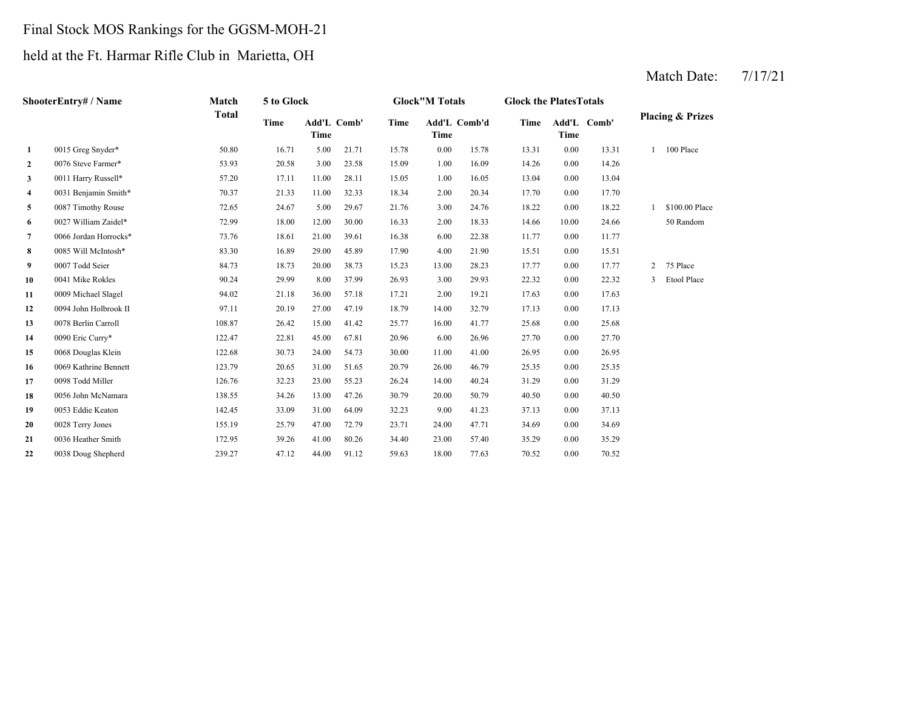## Final Stock MOS Rankings for the GGSM-MOH-21

## held at the Ft. Harmar Rifle Club in Marietta, OH

|              | ShooterEntry# / Name  | Match        | 5 to Glock |                     |       |       | <b>Glock</b> "M Totals |              | <b>Glock the PlatesTotals</b> |       |             |                |                             |
|--------------|-----------------------|--------------|------------|---------------------|-------|-------|------------------------|--------------|-------------------------------|-------|-------------|----------------|-----------------------------|
|              |                       | <b>Total</b> | Time       | Add'L Comb'<br>Time |       | Time  | Time                   | Add'L Comb'd | Time                          | Time  | Add'L Comb' |                | <b>Placing &amp; Prizes</b> |
| 1            | 0015 Greg Snyder*     | 50.80        | 16.71      | 5.00                | 21.71 | 15.78 | 0.00                   | 15.78        | 13.31                         | 0.00  | 13.31       |                | 100 Place                   |
| $\mathbf{2}$ | 0076 Steve Farmer*    | 53.93        | 20.58      | 3.00                | 23.58 | 15.09 | 1.00                   | 16.09        | 14.26                         | 0.00  | 14.26       |                |                             |
| 3            | 0011 Harry Russell*   | 57.20        | 17.11      | 11.00               | 28.11 | 15.05 | 1.00                   | 16.05        | 13.04                         | 0.00  | 13.04       |                |                             |
| 4            | 0031 Benjamin Smith*  | 70.37        | 21.33      | 11.00               | 32.33 | 18.34 | 2.00                   | 20.34        | 17.70                         | 0.00  | 17.70       |                |                             |
| 5            | 0087 Timothy Rouse    | 72.65        | 24.67      | 5.00                | 29.67 | 21.76 | 3.00                   | 24.76        | 18.22                         | 0.00  | 18.22       |                | \$100.00 Place              |
| 6            | 0027 William Zaidel*  | 72.99        | 18.00      | 12.00               | 30.00 | 16.33 | 2.00                   | 18.33        | 14.66                         | 10.00 | 24.66       |                | 50 Random                   |
| 7            | 0066 Jordan Horrocks* | 73.76        | 18.61      | 21.00               | 39.61 | 16.38 | 6.00                   | 22.38        | 11.77                         | 0.00  | 11.77       |                |                             |
| 8            | 0085 Will McIntosh*   | 83.30        | 16.89      | 29.00               | 45.89 | 17.90 | 4.00                   | 21.90        | 15.51                         | 0.00  | 15.51       |                |                             |
| 9            | 0007 Todd Seier       | 84.73        | 18.73      | 20.00               | 38.73 | 15.23 | 13.00                  | 28.23        | 17.77                         | 0.00  | 17.77       | $\overline{2}$ | 75 Place                    |
| 10           | 0041 Mike Rokles      | 90.24        | 29.99      | 8.00                | 37.99 | 26.93 | 3.00                   | 29.93        | 22.32                         | 0.00  | 22.32       | 3              | Etool Place                 |
| 11           | 0009 Michael Slagel   | 94.02        | 21.18      | 36.00               | 57.18 | 17.21 | 2.00                   | 19.21        | 17.63                         | 0.00  | 17.63       |                |                             |
| 12           | 0094 John Holbrook II | 97.11        | 20.19      | 27.00               | 47.19 | 18.79 | 14.00                  | 32.79        | 17.13                         | 0.00  | 17.13       |                |                             |
| 13           | 0078 Berlin Carroll   | 108.87       | 26.42      | 15.00               | 41.42 | 25.77 | 16.00                  | 41.77        | 25.68                         | 0.00  | 25.68       |                |                             |
| 14           | 0090 Eric Curry*      | 122.47       | 22.81      | 45.00               | 67.81 | 20.96 | 6.00                   | 26.96        | 27.70                         | 0.00  | 27.70       |                |                             |
| 15           | 0068 Douglas Klein    | 122.68       | 30.73      | 24.00               | 54.73 | 30.00 | 11.00                  | 41.00        | 26.95                         | 0.00  | 26.95       |                |                             |
| 16           | 0069 Kathrine Bennett | 123.79       | 20.65      | 31.00               | 51.65 | 20.79 | 26.00                  | 46.79        | 25.35                         | 0.00  | 25.35       |                |                             |
| 17           | 0098 Todd Miller      | 126.76       | 32.23      | 23.00               | 55.23 | 26.24 | 14.00                  | 40.24        | 31.29                         | 0.00  | 31.29       |                |                             |
| 18           | 0056 John McNamara    | 138.55       | 34.26      | 13.00               | 47.26 | 30.79 | 20.00                  | 50.79        | 40.50                         | 0.00  | 40.50       |                |                             |
| 19           | 0053 Eddie Keaton     | 142.45       | 33.09      | 31.00               | 64.09 | 32.23 | 9.00                   | 41.23        | 37.13                         | 0.00  | 37.13       |                |                             |
| 20           | 0028 Terry Jones      | 155.19       | 25.79      | 47.00               | 72.79 | 23.71 | 24.00                  | 47.71        | 34.69                         | 0.00  | 34.69       |                |                             |
| 21           | 0036 Heather Smith    | 172.95       | 39.26      | 41.00               | 80.26 | 34.40 | 23.00                  | 57.40        | 35.29                         | 0.00  | 35.29       |                |                             |
| 22           | 0038 Doug Shepherd    | 239.27       | 47.12      | 44.00               | 91.12 | 59.63 | 18.00                  | 77.63        | 70.52                         | 0.00  | 70.52       |                |                             |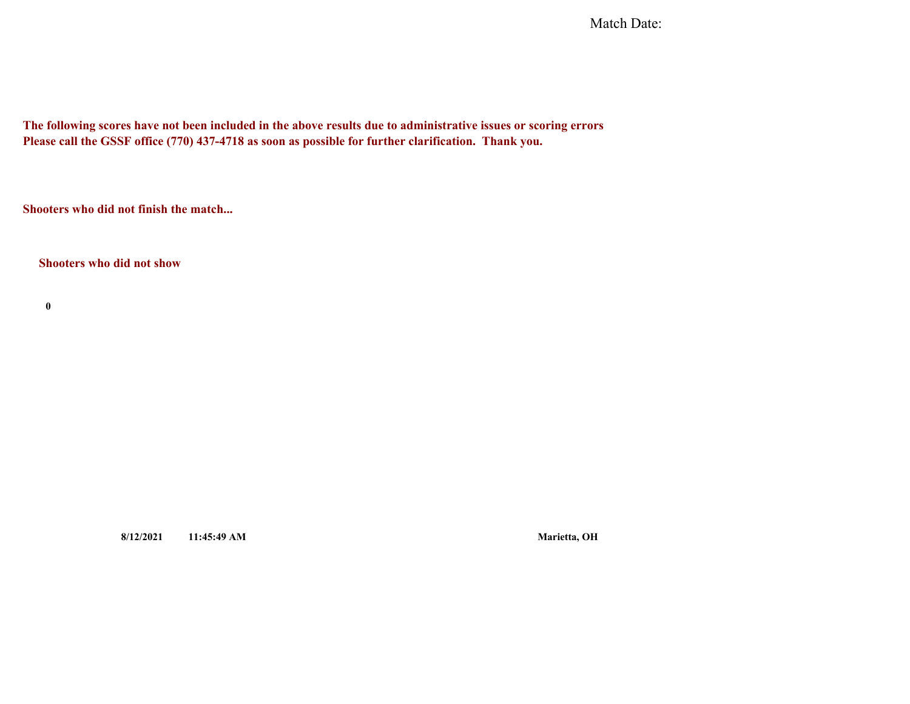Match Date:

**The following scores have not been included in the above results due to administrative issues or scoring errors Please call the GSSF office (770) 437-4718 as soon as possible for further clarification. Thank you.**

**Shooters who did not finish the match...**

**Shooters who did not show**

**0**

**8/12/2021 11:45:49 AM Marietta, OH**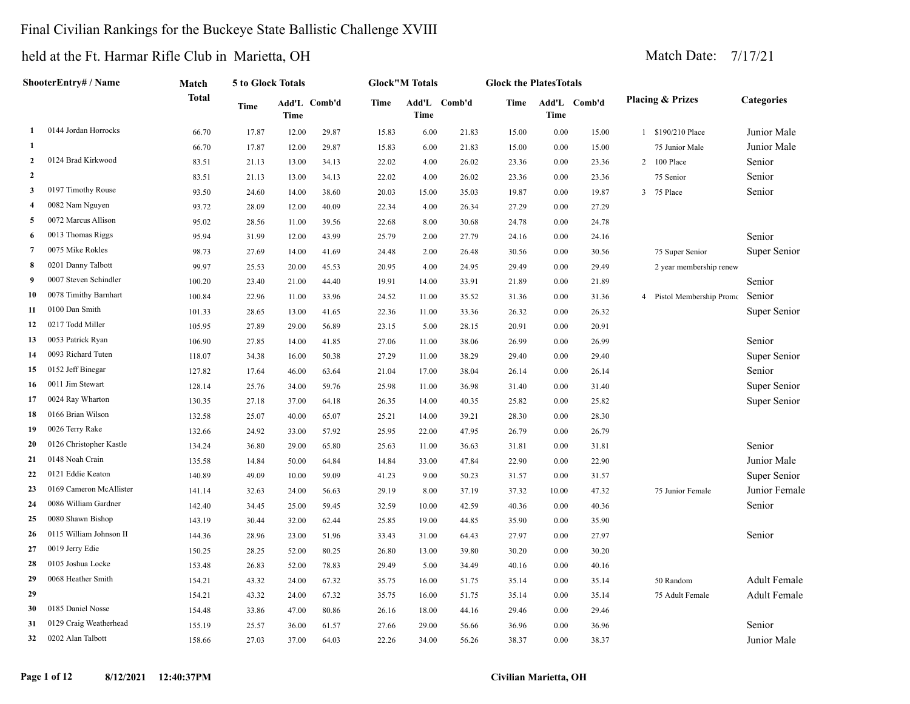#### Final Civilian Rankings for the Buckeye State Ballistic Challenge XVIII

|                | ShooterEntry# / Name<br>0144 Jordan Horrocks<br>1 | Match        | 5 to Glock Totals |       |              |       | <b>Glock</b> "M Totals |              | <b>Glock the PlatesTotals</b> |             |              |   |                             |                     |
|----------------|---------------------------------------------------|--------------|-------------------|-------|--------------|-------|------------------------|--------------|-------------------------------|-------------|--------------|---|-----------------------------|---------------------|
|                |                                                   | <b>Total</b> | Time              | Time  | Add'L Comb'd | Time  | Time                   | Add'L Comb'd | Time                          | <b>Time</b> | Add'L Comb'd |   | <b>Placing &amp; Prizes</b> | <b>Categories</b>   |
|                |                                                   | 66.70        | 17.87             | 12.00 | 29.87        | 15.83 | 6.00                   | 21.83        | 15.00                         | 0.00        | 15.00        |   | 1 \$190/210 Place           | Junior Male         |
| -1             |                                                   | 66.70        | 17.87             | 12.00 | 29.87        | 15.83 | 6.00                   | 21.83        | 15.00                         | 0.00        | 15.00        |   | 75 Junior Male              | Junior Male         |
| $\overline{2}$ | 0124 Brad Kirkwood                                | 83.51        | 21.13             | 13.00 | 34.13        | 22.02 | 4.00                   | 26.02        | 23.36                         | 0.00        | 23.36        | 2 | 100 Place                   | Senior              |
| $\overline{2}$ |                                                   | 83.51        | 21.13             | 13.00 | 34.13        | 22.02 | 4.00                   | 26.02        | 23.36                         | 0.00        | 23.36        |   | 75 Senior                   | Senior              |
| $\mathbf{3}$   | 0197 Timothy Rouse                                | 93.50        | 24.60             | 14.00 | 38.60        | 20.03 | 15.00                  | 35.03        | 19.87                         | 0.00        | 19.87        | 3 | 75 Place                    | Senior              |
| $\overline{4}$ | 0082 Nam Nguyen                                   | 93.72        | 28.09             | 12.00 | 40.09        | 22.34 | 4.00                   | 26.34        | 27.29                         | 0.00        | 27.29        |   |                             |                     |
| 5              | 0072 Marcus Allison                               | 95.02        | 28.56             | 11.00 | 39.56        | 22.68 | 8.00                   | 30.68        | 24.78                         | 0.00        | 24.78        |   |                             |                     |
| 6              | 0013 Thomas Riggs                                 | 95.94        | 31.99             | 12.00 | 43.99        | 25.79 | 2.00                   | 27.79        | 24.16                         | 0.00        | 24.16        |   |                             | Senior              |
| $\overline{7}$ | 0075 Mike Rokles                                  | 98.73        | 27.69             | 14.00 | 41.69        | 24.48 | 2.00                   | 26.48        | 30.56                         | 0.00        | 30.56        |   | 75 Super Senior             | Super Senior        |
| 8              | 0201 Danny Talbott                                | 99.97        | 25.53             | 20.00 | 45.53        | 20.95 | 4.00                   | 24.95        | 29.49                         | 0.00        | 29.49        |   | 2 year membership renew     |                     |
| -9             | 0007 Steven Schindler                             | 100.20       | 23.40             | 21.00 | 44.40        | 19.91 | 14.00                  | 33.91        | 21.89                         | 0.00        | 21.89        |   |                             | Senior              |
| 10             | 0078 Timithy Barnhart                             | 100.84       | 22.96             | 11.00 | 33.96        | 24.52 | 11.00                  | 35.52        | 31.36                         | 0.00        | 31.36        |   | Pistol Membership Promo     | Senior              |
| 11             | 0100 Dan Smith                                    | 101.33       | 28.65             | 13.00 | 41.65        | 22.36 | 11.00                  | 33.36        | 26.32                         | 0.00        | 26.32        |   |                             | Super Senior        |
| 12             | 0217 Todd Miller                                  | 105.95       | 27.89             | 29.00 | 56.89        | 23.15 | 5.00                   | 28.15        | 20.91                         | 0.00        | 20.91        |   |                             |                     |
| 13             | 0053 Patrick Ryan                                 | 106.90       | 27.85             | 14.00 | 41.85        | 27.06 | 11.00                  | 38.06        | 26.99                         | 0.00        | 26.99        |   |                             | Senior              |
| 14             | 0093 Richard Tuten                                | 118.07       | 34.38             | 16.00 | 50.38        | 27.29 | 11.00                  | 38.29        | 29.40                         | 0.00        | 29.40        |   |                             | Super Senior        |
| 15             | 0152 Jeff Binegar                                 | 127.82       | 17.64             | 46.00 | 63.64        | 21.04 | 17.00                  | 38.04        | 26.14                         | 0.00        | 26.14        |   |                             | Senior              |
| 16             | 0011 Jim Stewart                                  | 128.14       | 25.76             | 34.00 | 59.76        | 25.98 | 11.00                  | 36.98        | 31.40                         | 0.00        | 31.40        |   |                             | Super Senior        |
| 17             | 0024 Ray Wharton                                  | 130.35       | 27.18             | 37.00 | 64.18        | 26.35 | 14.00                  | 40.35        | 25.82                         | 0.00        | 25.82        |   |                             | Super Senior        |
| 18             | 0166 Brian Wilson                                 | 132.58       | 25.07             | 40.00 | 65.07        | 25.21 | 14.00                  | 39.21        | 28.30                         | 0.00        | 28.30        |   |                             |                     |
| 19             | 0026 Terry Rake                                   | 132.66       | 24.92             | 33.00 | 57.92        | 25.95 | 22.00                  | 47.95        | 26.79                         | 0.00        | 26.79        |   |                             |                     |
| 20             | 0126 Christopher Kastle                           | 134.24       | 36.80             | 29.00 | 65.80        | 25.63 | 11.00                  | 36.63        | 31.81                         | 0.00        | 31.81        |   |                             | Senior              |
| 21             | 0148 Noah Crain                                   | 135.58       | 14.84             | 50.00 | 64.84        | 14.84 | 33.00                  | 47.84        | 22.90                         | 0.00        | 22.90        |   |                             | Junior Male         |
| 22             | 0121 Eddie Keaton                                 | 140.89       | 49.09             | 10.00 | 59.09        | 41.23 | 9.00                   | 50.23        | 31.57                         | 0.00        | 31.57        |   |                             | Super Senior        |
| 23             | 0169 Cameron McAllister                           | 141.14       | 32.63             | 24.00 | 56.63        | 29.19 | 8.00                   | 37.19        | 37.32                         | 10.00       | 47.32        |   | 75 Junior Female            | Junior Female       |
| 24             | 0086 William Gardner                              | 142.40       | 34.45             | 25.00 | 59.45        | 32.59 | 10.00                  | 42.59        | 40.36                         | 0.00        | 40.36        |   |                             | Senior              |
| 25             | 0080 Shawn Bishop                                 | 143.19       | 30.44             | 32.00 | 62.44        | 25.85 | 19.00                  | 44.85        | 35.90                         | 0.00        | 35.90        |   |                             |                     |
| 26             | 0115 William Johnson II                           | 144.36       | 28.96             | 23.00 | 51.96        | 33.43 | 31.00                  | 64.43        | 27.97                         | 0.00        | 27.97        |   |                             | Senior              |
| 27             | 0019 Jerry Edie                                   | 150.25       | 28.25             | 52.00 | 80.25        | 26.80 | 13.00                  | 39.80        | 30.20                         | 0.00        | 30.20        |   |                             |                     |
| 28             | 0105 Joshua Locke                                 | 153.48       | 26.83             | 52.00 | 78.83        | 29.49 | 5.00                   | 34.49        | 40.16                         | 0.00        | 40.16        |   |                             |                     |
| 29             | 0068 Heather Smith                                | 154.21       | 43.32             | 24.00 | 67.32        | 35.75 | 16.00                  | 51.75        | 35.14                         | 0.00        | 35.14        |   | 50 Random                   | <b>Adult Female</b> |
| 29             |                                                   | 154.21       | 43.32             | 24.00 | 67.32        | 35.75 | 16.00                  | 51.75        | 35.14                         | 0.00        | 35.14        |   | 75 Adult Female             | <b>Adult Female</b> |
| 30             | 0185 Daniel Nosse                                 | 154.48       | 33.86             | 47.00 | 80.86        | 26.16 | 18.00                  | 44.16        | 29.46                         | 0.00        | 29.46        |   |                             |                     |
| 31             | 0129 Craig Weatherhead                            | 155.19       | 25.57             | 36.00 | 61.57        | 27.66 | 29.00                  | 56.66        | 36.96                         | 0.00        | 36.96        |   |                             | Senior              |
| 32             | 0202 Alan Talbott                                 | 158.66       | 27.03             | 37.00 | 64.03        | 22.26 | 34.00                  | 56.26        | 38.37                         | 0.00        | 38.37        |   |                             | Junior Male         |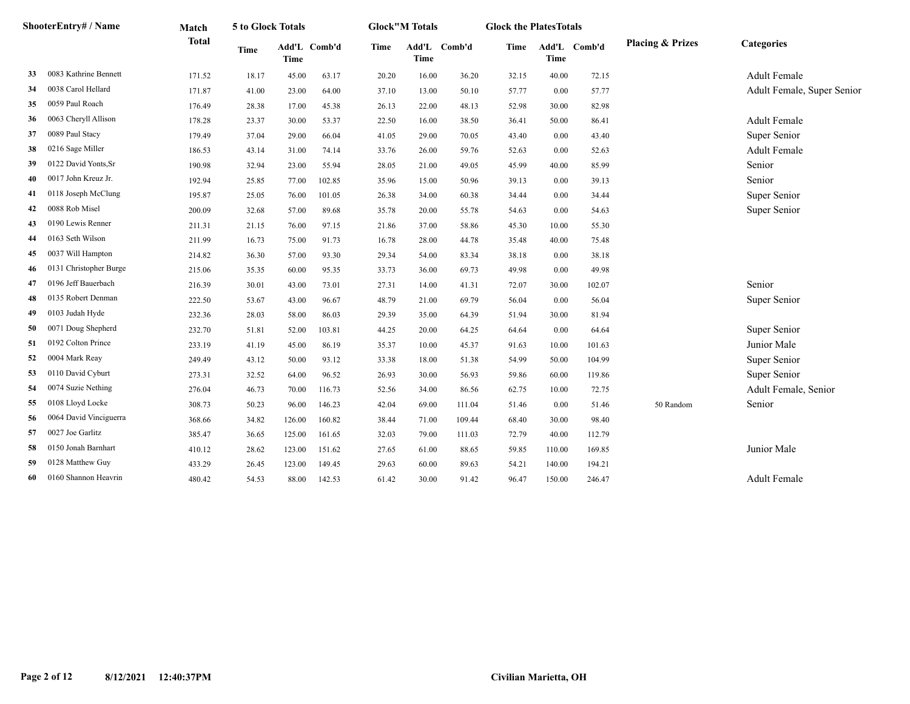|    | ShooterEntry# / Name   | Match        | 5 to Glock Totals |        |              |             | <b>Glock"M Totals</b> |              | <b>Glock the PlatesTotals</b> |        |              |                             |                            |
|----|------------------------|--------------|-------------------|--------|--------------|-------------|-----------------------|--------------|-------------------------------|--------|--------------|-----------------------------|----------------------------|
|    |                        | <b>Total</b> | <b>Time</b>       | Time   | Add'L Comb'd | <b>Time</b> | <b>Time</b>           | Add'L Comb'd | Time                          | Time   | Add'L Comb'd | <b>Placing &amp; Prizes</b> | <b>Categories</b>          |
| 33 | 0083 Kathrine Bennett  | 171.52       | 18.17             | 45.00  | 63.17        | 20.20       | 16.00                 | 36.20        | 32.15                         | 40.00  | 72.15        |                             | <b>Adult Female</b>        |
| 34 | 0038 Carol Hellard     | 171.87       | 41.00             | 23.00  | 64.00        | 37.10       | 13.00                 | 50.10        | 57.77                         | 0.00   | 57.77        |                             | Adult Female, Super Senior |
| 35 | 0059 Paul Roach        | 176.49       | 28.38             | 17.00  | 45.38        | 26.13       | 22.00                 | 48.13        | 52.98                         | 30.00  | 82.98        |                             |                            |
| 36 | 0063 Cheryll Allison   | 178.28       | 23.37             | 30.00  | 53.37        | 22.50       | 16.00                 | 38.50        | 36.41                         | 50.00  | 86.41        |                             | <b>Adult Female</b>        |
| 37 | 0089 Paul Stacy        | 179.49       | 37.04             | 29.00  | 66.04        | 41.05       | 29.00                 | 70.05        | 43.40                         | 0.00   | 43.40        |                             | Super Senior               |
| 38 | 0216 Sage Miller       | 186.53       | 43.14             | 31.00  | 74.14        | 33.76       | 26.00                 | 59.76        | 52.63                         | 0.00   | 52.63        |                             | <b>Adult Female</b>        |
| 39 | 0122 David Yonts, Sr   | 190.98       | 32.94             | 23.00  | 55.94        | 28.05       | 21.00                 | 49.05        | 45.99                         | 40.00  | 85.99        |                             | Senior                     |
| 40 | 0017 John Kreuz Jr.    | 192.94       | 25.85             | 77.00  | 102.85       | 35.96       | 15.00                 | 50.96        | 39.13                         | 0.00   | 39.13        |                             | Senior                     |
| 41 | 0118 Joseph McClung    | 195.87       | 25.05             | 76.00  | 101.05       | 26.38       | 34.00                 | 60.38        | 34.44                         | 0.00   | 34.44        |                             | Super Senior               |
| 42 | 0088 Rob Misel         | 200.09       | 32.68             | 57.00  | 89.68        | 35.78       | 20.00                 | 55.78        | 54.63                         | 0.00   | 54.63        |                             | Super Senior               |
| 43 | 0190 Lewis Renner      | 211.31       | 21.15             | 76.00  | 97.15        | 21.86       | 37.00                 | 58.86        | 45.30                         | 10.00  | 55.30        |                             |                            |
| 44 | 0163 Seth Wilson       | 211.99       | 16.73             | 75.00  | 91.73        | 16.78       | 28.00                 | 44.78        | 35.48                         | 40.00  | 75.48        |                             |                            |
| 45 | 0037 Will Hampton      | 214.82       | 36.30             | 57.00  | 93.30        | 29.34       | 54.00                 | 83.34        | 38.18                         | 0.00   | 38.18        |                             |                            |
| 46 | 0131 Christopher Burge | 215.06       | 35.35             | 60.00  | 95.35        | 33.73       | 36.00                 | 69.73        | 49.98                         | 0.00   | 49.98        |                             |                            |
| 47 | 0196 Jeff Bauerbach    | 216.39       | 30.01             | 43.00  | 73.01        | 27.31       | 14.00                 | 41.31        | 72.07                         | 30.00  | 102.07       |                             | Senior                     |
| 48 | 0135 Robert Denman     | 222.50       | 53.67             | 43.00  | 96.67        | 48.79       | 21.00                 | 69.79        | 56.04                         | 0.00   | 56.04        |                             | Super Senior               |
| 49 | 0103 Judah Hyde        | 232.36       | 28.03             | 58.00  | 86.03        | 29.39       | 35.00                 | 64.39        | 51.94                         | 30.00  | 81.94        |                             |                            |
| 50 | 0071 Doug Shepherd     | 232.70       | 51.81             | 52.00  | 103.81       | 44.25       | 20.00                 | 64.25        | 64.64                         | 0.00   | 64.64        |                             | Super Senior               |
| 51 | 0192 Colton Prince     | 233.19       | 41.19             | 45.00  | 86.19        | 35.37       | 10.00                 | 45.37        | 91.63                         | 10.00  | 101.63       |                             | Junior Male                |
| 52 | 0004 Mark Reay         | 249.49       | 43.12             | 50.00  | 93.12        | 33.38       | 18.00                 | 51.38        | 54.99                         | 50.00  | 104.99       |                             | Super Senior               |
| 53 | 0110 David Cyburt      | 273.31       | 32.52             | 64.00  | 96.52        | 26.93       | 30.00                 | 56.93        | 59.86                         | 60.00  | 119.86       |                             | Super Senior               |
| 54 | 0074 Suzie Nething     | 276.04       | 46.73             | 70.00  | 116.73       | 52.56       | 34.00                 | 86.56        | 62.75                         | 10.00  | 72.75        |                             | Adult Female, Senior       |
| 55 | 0108 Lloyd Locke       | 308.73       | 50.23             | 96.00  | 146.23       | 42.04       | 69.00                 | 111.04       | 51.46                         | 0.00   | 51.46        | 50 Random                   | Senior                     |
| 56 | 0064 David Vinciguerra | 368.66       | 34.82             | 126.00 | 160.82       | 38.44       | 71.00                 | 109.44       | 68.40                         | 30.00  | 98.40        |                             |                            |
| 57 | 0027 Joe Garlitz       | 385.47       | 36.65             | 125.00 | 161.65       | 32.03       | 79.00                 | 111.03       | 72.79                         | 40.00  | 112.79       |                             |                            |
| 58 | 0150 Jonah Barnhart    | 410.12       | 28.62             | 123.00 | 151.62       | 27.65       | 61.00                 | 88.65        | 59.85                         | 110.00 | 169.85       |                             | Junior Male                |
| 59 | 0128 Matthew Guy       | 433.29       | 26.45             | 123.00 | 149.45       | 29.63       | 60.00                 | 89.63        | 54.21                         | 140.00 | 194.21       |                             |                            |
| 60 | 0160 Shannon Heavrin   | 480.42       | 54.53             | 88.00  | 142.53       | 61.42       | 30.00                 | 91.42        | 96.47                         | 150.00 | 246.47       |                             | <b>Adult Female</b>        |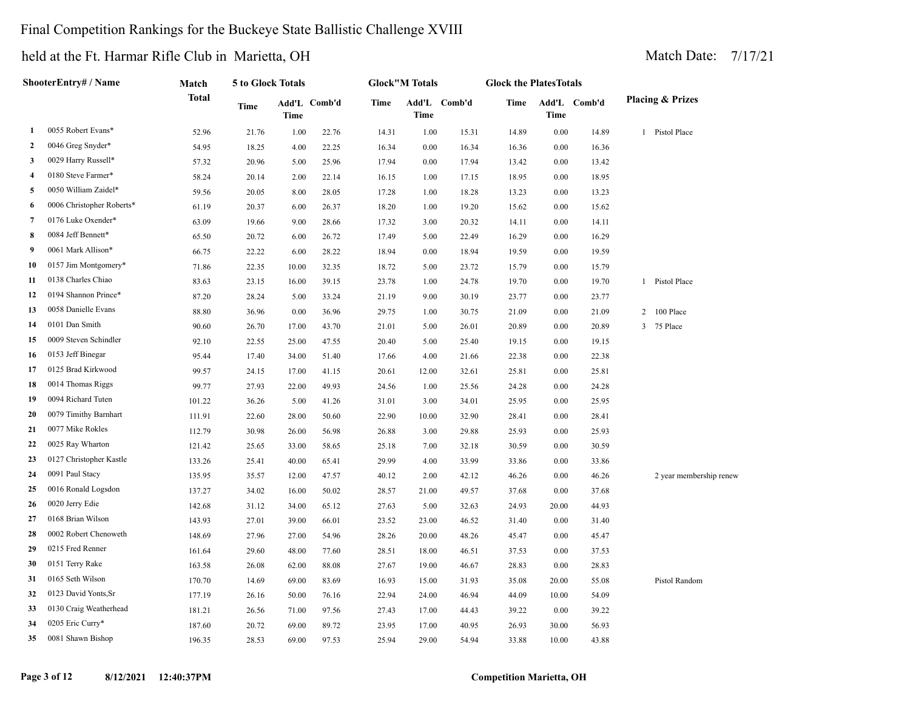#### Final Competition Rankings for the Buckeye State Ballistic Challenge XVIII

|                | ShooterEntry# / Name      | Match        | 5 to Glock Totals |             |              |       | <b>Glock"M Totals</b> |              | <b>Glock the PlatesTotals</b> |       |              |                             |
|----------------|---------------------------|--------------|-------------------|-------------|--------------|-------|-----------------------|--------------|-------------------------------|-------|--------------|-----------------------------|
|                |                           | <b>Total</b> | <b>Time</b>       | <b>Time</b> | Add'L Comb'd | Time  | <b>Time</b>           | Add'L Comb'd | Time                          | Time  | Add'L Comb'd | <b>Placing &amp; Prizes</b> |
| 1              | 0055 Robert Evans*        | 52.96        | 21.76             | 1.00        | 22.76        | 14.31 | 1.00                  | 15.31        | 14.89                         | 0.00  | 14.89        | 1 Pistol Place              |
| 2              | 0046 Greg Snyder*         | 54.95        | 18.25             | 4.00        | 22.25        | 16.34 | 0.00                  | 16.34        | 16.36                         | 0.00  | 16.36        |                             |
| 3              | 0029 Harry Russell*       | 57.32        | 20.96             | 5.00        | 25.96        | 17.94 | 0.00                  | 17.94        | 13.42                         | 0.00  | 13.42        |                             |
| $\overline{4}$ | 0180 Steve Farmer*        | 58.24        | 20.14             | 2.00        | 22.14        | 16.15 | 1.00                  | 17.15        | 18.95                         | 0.00  | 18.95        |                             |
| 5              | 0050 William Zaidel*      | 59.56        | 20.05             | 8.00        | 28.05        | 17.28 | 1.00                  | 18.28        | 13.23                         | 0.00  | 13.23        |                             |
| 6              | 0006 Christopher Roberts* | 61.19        | 20.37             | 6.00        | 26.37        | 18.20 | 1.00                  | 19.20        | 15.62                         | 0.00  | 15.62        |                             |
| 7              | 0176 Luke Oxender*        | 63.09        | 19.66             | 9.00        | 28.66        | 17.32 | 3.00                  | 20.32        | 14.11                         | 0.00  | 14.11        |                             |
| 8              | 0084 Jeff Bennett*        | 65.50        | 20.72             | 6.00        | 26.72        | 17.49 | 5.00                  | 22.49        | 16.29                         | 0.00  | 16.29        |                             |
| 9              | 0061 Mark Allison*        | 66.75        | 22.22             | 6.00        | 28.22        | 18.94 | 0.00                  | 18.94        | 19.59                         | 0.00  | 19.59        |                             |
| 10             | 0157 Jim Montgomery*      | 71.86        | 22.35             | 10.00       | 32.35        | 18.72 | 5.00                  | 23.72        | 15.79                         | 0.00  | 15.79        |                             |
| 11             | 0138 Charles Chiao        | 83.63        | 23.15             | 16.00       | 39.15        | 23.78 | 1.00                  | 24.78        | 19.70                         | 0.00  | 19.70        | 1 Pistol Place              |
| 12             | 0194 Shannon Prince*      | 87.20        | 28.24             | 5.00        | 33.24        | 21.19 | 9.00                  | 30.19        | 23.77                         | 0.00  | 23.77        |                             |
| 13             | 0058 Danielle Evans       | 88.80        | 36.96             | 0.00        | 36.96        | 29.75 | 1.00                  | 30.75        | 21.09                         | 0.00  | 21.09        | 2 100 Place                 |
| 14             | 0101 Dan Smith            | 90.60        | 26.70             | 17.00       | 43.70        | 21.01 | 5.00                  | 26.01        | 20.89                         | 0.00  | 20.89        | 3 75 Place                  |
| 15             | 0009 Steven Schindler     | 92.10        | 22.55             | 25.00       | 47.55        | 20.40 | 5.00                  | 25.40        | 19.15                         | 0.00  | 19.15        |                             |
| 16             | 0153 Jeff Binegar         | 95.44        | 17.40             | 34.00       | 51.40        | 17.66 | 4.00                  | 21.66        | 22.38                         | 0.00  | 22.38        |                             |
| 17             | 0125 Brad Kirkwood        | 99.57        | 24.15             | 17.00       | 41.15        | 20.61 | 12.00                 | 32.61        | 25.81                         | 0.00  | 25.81        |                             |
| 18             | 0014 Thomas Riggs         | 99.77        | 27.93             | 22.00       | 49.93        | 24.56 | 1.00                  | 25.56        | 24.28                         | 0.00  | 24.28        |                             |
| 19             | 0094 Richard Tuten        | 101.22       | 36.26             | 5.00        | 41.26        | 31.01 | 3.00                  | 34.01        | 25.95                         | 0.00  | 25.95        |                             |
| 20             | 0079 Timithy Barnhart     | 111.91       | 22.60             | 28.00       | 50.60        | 22.90 | 10.00                 | 32.90        | 28.41                         | 0.00  | 28.41        |                             |
| 21             | 0077 Mike Rokles          | 112.79       | 30.98             | 26.00       | 56.98        | 26.88 | 3.00                  | 29.88        | 25.93                         | 0.00  | 25.93        |                             |
| 22             | 0025 Ray Wharton          | 121.42       | 25.65             | 33.00       | 58.65        | 25.18 | 7.00                  | 32.18        | 30.59                         | 0.00  | 30.59        |                             |
| 23             | 0127 Christopher Kastle   | 133.26       | 25.41             | 40.00       | 65.41        | 29.99 | 4.00                  | 33.99        | 33.86                         | 0.00  | 33.86        |                             |
| 24             | 0091 Paul Stacy           | 135.95       | 35.57             | 12.00       | 47.57        | 40.12 | 2.00                  | 42.12        | 46.26                         | 0.00  | 46.26        | 2 year membership renew     |
| 25             | 0016 Ronald Logsdon       | 137.27       | 34.02             | 16.00       | 50.02        | 28.57 | 21.00                 | 49.57        | 37.68                         | 0.00  | 37.68        |                             |
| 26             | 0020 Jerry Edie           | 142.68       | 31.12             | 34.00       | 65.12        | 27.63 | 5.00                  | 32.63        | 24.93                         | 20.00 | 44.93        |                             |
| 27             | 0168 Brian Wilson         | 143.93       | 27.01             | 39.00       | 66.01        | 23.52 | 23.00                 | 46.52        | 31.40                         | 0.00  | 31.40        |                             |
| 28             | 0002 Robert Chenoweth     | 148.69       | 27.96             | 27.00       | 54.96        | 28.26 | 20.00                 | 48.26        | 45.47                         | 0.00  | 45.47        |                             |
| 29             | 0215 Fred Renner          | 161.64       | 29.60             | 48.00       | 77.60        | 28.51 | 18.00                 | 46.51        | 37.53                         | 0.00  | 37.53        |                             |
| 30             | 0151 Terry Rake           | 163.58       | 26.08             | 62.00       | 88.08        | 27.67 | 19.00                 | 46.67        | 28.83                         | 0.00  | 28.83        |                             |
| 31             | 0165 Seth Wilson          | 170.70       | 14.69             | 69.00       | 83.69        | 16.93 | 15.00                 | 31.93        | 35.08                         | 20.00 | 55.08        | Pistol Random               |
| 32             | 0123 David Yonts, Sr      | 177.19       | 26.16             | 50.00       | 76.16        | 22.94 | 24.00                 | 46.94        | 44.09                         | 10.00 | 54.09        |                             |
| 33             | 0130 Craig Weatherhead    | 181.21       | 26.56             | 71.00       | 97.56        | 27.43 | 17.00                 | 44.43        | 39.22                         | 0.00  | 39.22        |                             |
| 34             | 0205 Eric Curry*          | 187.60       | 20.72             | 69.00       | 89.72        | 23.95 | 17.00                 | 40.95        | 26.93                         | 30.00 | 56.93        |                             |
| 35             | 0081 Shawn Bishop         | 196.35       | 28.53             | 69.00       | 97.53        | 25.94 | 29.00                 | 54.94        | 33.88                         | 10.00 | 43.88        |                             |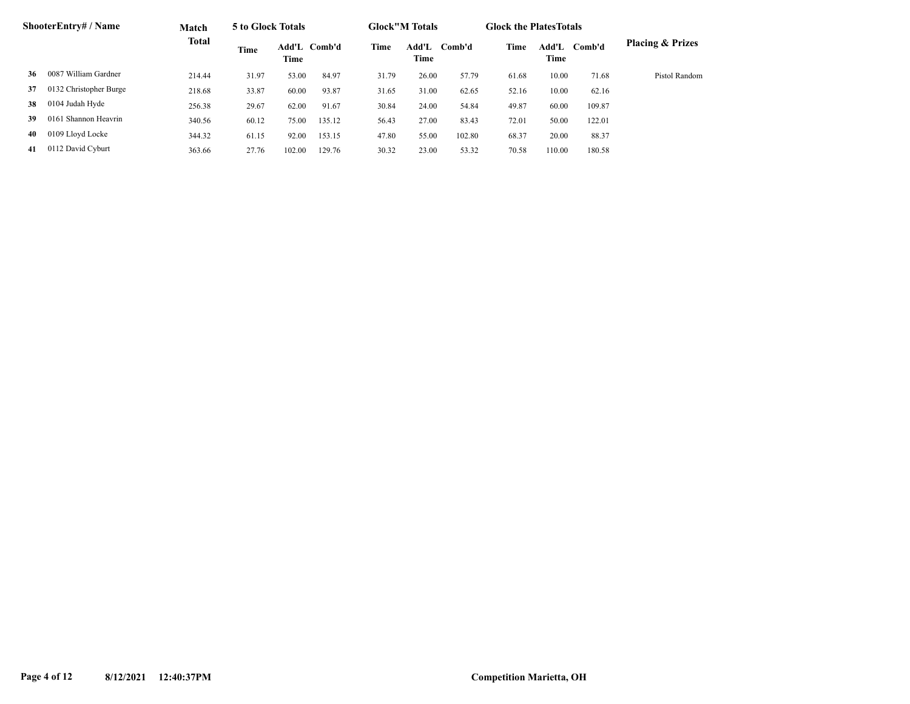|    | <b>ShooterEntry# / Name</b> | Match        | 5 to Glock Totals |        |              |       | <b>Glock</b> "M Totals |        | <b>Glock the Plates Totals</b> |               |        |                             |
|----|-----------------------------|--------------|-------------------|--------|--------------|-------|------------------------|--------|--------------------------------|---------------|--------|-----------------------------|
|    |                             | <b>Total</b> | Time              | Time   | Add'L Comb'd | Time  | Add'L<br>Time          | Comb'd | Time                           | Add'L<br>Time | Comb'd | <b>Placing &amp; Prizes</b> |
| 36 | 0087 William Gardner        | 214.44       | 31.97             | 53.00  | 84.97        | 31.79 | 26.00                  | 57.79  | 61.68                          | 10.00         | 71.68  | Pistol Random               |
| 37 | 0132 Christopher Burge      | 218.68       | 33.87             | 60.00  | 93.87        | 31.65 | 31.00                  | 62.65  | 52.16                          | 10.00         | 62.16  |                             |
| 38 | 0104 Judah Hyde             | 256.38       | 29.67             | 62.00  | 91.67        | 30.84 | 24.00                  | 54.84  | 49.87                          | 60.00         | 109.87 |                             |
| 39 | 0161 Shannon Heavrin        | 340.56       | 60.12             | 75.00  | 135.12       | 56.43 | 27.00                  | 83.43  | 72.01                          | 50.00         | 122.01 |                             |
| 40 | 0109 Lloyd Locke            | 344.32       | 61.15             | 92.00  | 153.15       | 47.80 | 55.00                  | 102.80 | 68.37                          | 20.00         | 88.37  |                             |
| 41 | 0112 David Cyburt           | 363.66       | 27.76             | 102.00 | 129.76       | 30.32 | 23.00                  | 53.32  | 70.58                          | 110.00        | 180.58 |                             |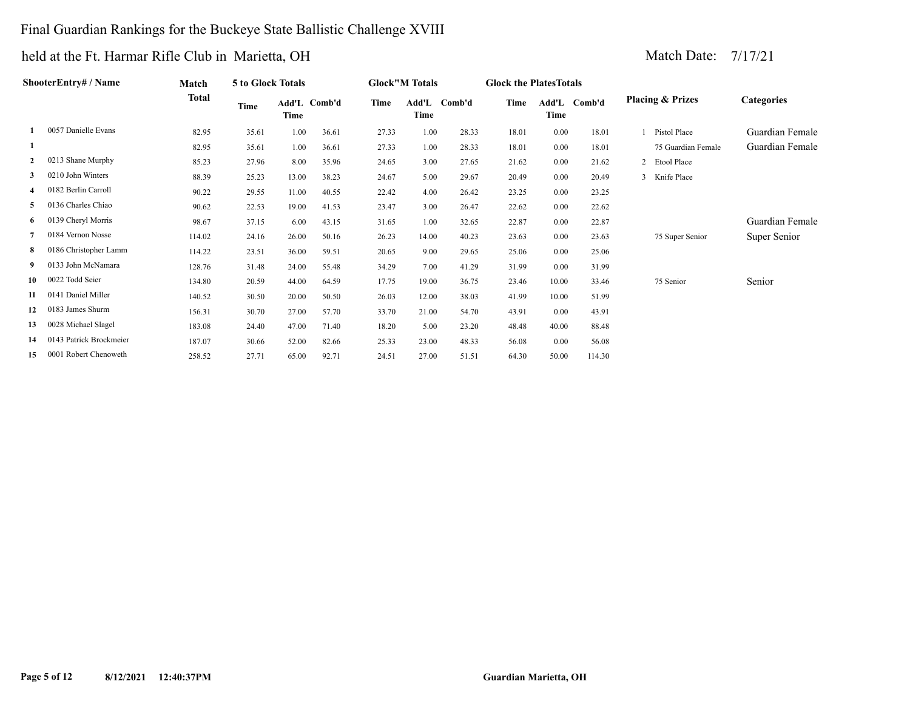#### Final Guardian Rankings for the Buckeye State Ballistic Challenge XVIII

|                | ShooterEntry# / Name    | Match        | 5 to Glock Totals |       |              |       | <b>Glock"M Totals</b> |              | <b>Glock the Plates Totals</b> |          |              |                             |                   |
|----------------|-------------------------|--------------|-------------------|-------|--------------|-------|-----------------------|--------------|--------------------------------|----------|--------------|-----------------------------|-------------------|
|                |                         | <b>Total</b> | Time              | Time  | Add'L Comb'd | Time  | Time                  | Add'L Comb'd | Time                           | Time     | Add'L Comb'd | <b>Placing &amp; Prizes</b> | <b>Categories</b> |
|                | 0057 Danielle Evans     | 82.95        | 35.61             | 1.00  | 36.61        | 27.33 | 1.00                  | 28.33        | 18.01                          | 0.00     | 18.01        | Pistol Place                | Guardian Female   |
| -1             |                         | 82.95        | 35.61             | 1.00  | 36.61        | 27.33 | 1.00                  | 28.33        | 18.01                          | 0.00     | 18.01        | 75 Guardian Female          | Guardian Female   |
| $\overline{2}$ | 0213 Shane Murphy       | 85.23        | 27.96             | 8.00  | 35.96        | 24.65 | 3.00                  | 27.65        | 21.62                          | 0.00     | 21.62        | 2 Etool Place               |                   |
| 3              | 0210 John Winters       | 88.39        | 25.23             | 13.00 | 38.23        | 24.67 | 5.00                  | 29.67        | 20.49                          | 0.00     | 20.49        | 3 Knife Place               |                   |
| $\overline{4}$ | 0182 Berlin Carroll     | 90.22        | 29.55             | 11.00 | 40.55        | 22.42 | 4.00                  | 26.42        | 23.25                          | 0.00     | 23.25        |                             |                   |
| 5              | 0136 Charles Chiao      | 90.62        | 22.53             | 19.00 | 41.53        | 23.47 | 3.00                  | 26.47        | 22.62                          | 0.00     | 22.62        |                             |                   |
| 6              | 0139 Cheryl Morris      | 98.67        | 37.15             | 6.00  | 43.15        | 31.65 | 1.00                  | 32.65        | 22.87                          | 0.00     | 22.87        |                             | Guardian Female   |
|                | 0184 Vernon Nosse       | 114.02       | 24.16             | 26.00 | 50.16        | 26.23 | 14.00                 | 40.23        | 23.63                          | 0.00     | 23.63        | 75 Super Senior             | Super Senior      |
| 8              | 0186 Christopher Lamm   | 114.22       | 23.51             | 36.00 | 59.51        | 20.65 | 9.00                  | 29.65        | 25.06                          | 0.00     | 25.06        |                             |                   |
| 9              | 0133 John McNamara      | 128.76       | 31.48             | 24.00 | 55.48        | 34.29 | 7.00                  | 41.29        | 31.99                          | $0.00\,$ | 31.99        |                             |                   |
| 10             | 0022 Todd Seier         | 134.80       | 20.59             | 44.00 | 64.59        | 17.75 | 19.00                 | 36.75        | 23.46                          | 10.00    | 33.46        | 75 Senior                   | Senior            |
| 11             | 0141 Daniel Miller      | 140.52       | 30.50             | 20.00 | 50.50        | 26.03 | 12.00                 | 38.03        | 41.99                          | 10.00    | 51.99        |                             |                   |
| 12             | 0183 James Shurm        | 156.31       | 30.70             | 27.00 | 57.70        | 33.70 | 21.00                 | 54.70        | 43.91                          | 0.00     | 43.91        |                             |                   |
| 13             | 0028 Michael Slagel     | 183.08       | 24.40             | 47.00 | 71.40        | 18.20 | 5.00                  | 23.20        | 48.48                          | 40.00    | 88.48        |                             |                   |
| 14             | 0143 Patrick Brockmeier | 187.07       | 30.66             | 52.00 | 82.66        | 25.33 | 23.00                 | 48.33        | 56.08                          | 0.00     | 56.08        |                             |                   |
| 15             | 0001 Robert Chenoweth   | 258.52       | 27.71             | 65.00 | 92.71        | 24.51 | 27.00                 | 51.51        | 64.30                          | 50.00    | 114.30       |                             |                   |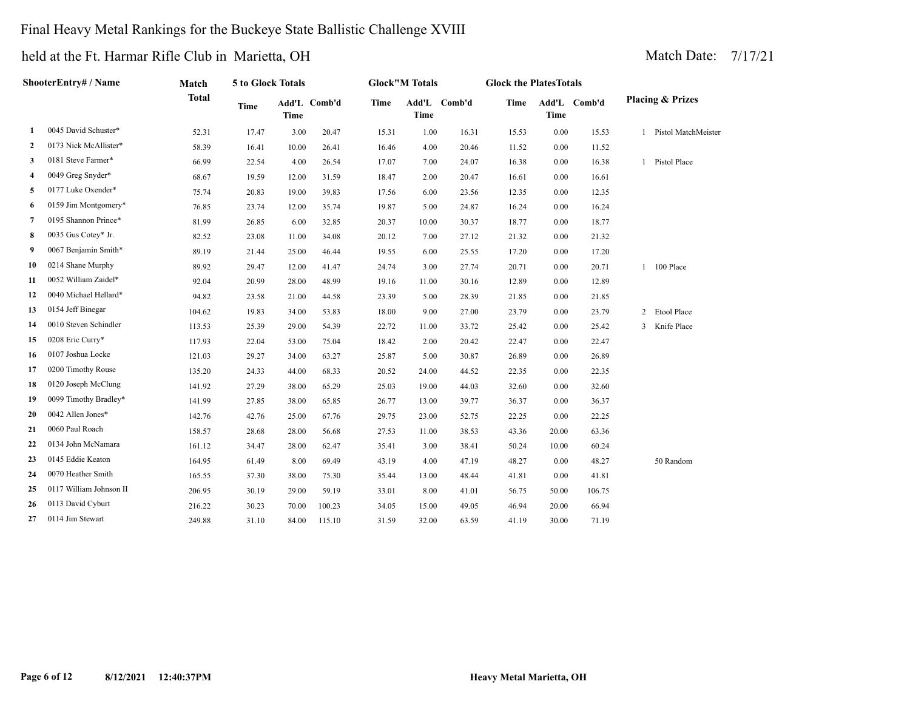#### Final Heavy Metal Rankings for the Buckeye State Ballistic Challenge XVIII

|              | ShooterEntry# / Name    | Match        | 5 to Glock Totals |             |              |             | <b>Glock</b> "M Totals |              | <b>Glock the PlatesTotals</b> |             |              |                             |
|--------------|-------------------------|--------------|-------------------|-------------|--------------|-------------|------------------------|--------------|-------------------------------|-------------|--------------|-----------------------------|
|              |                         | <b>Total</b> | <b>Time</b>       | <b>Time</b> | Add'L Comb'd | <b>Time</b> | Time                   | Add'L Comb'd | <b>Time</b>                   | <b>Time</b> | Add'L Comb'd | <b>Placing &amp; Prizes</b> |
| 1            | 0045 David Schuster*    | 52.31        | 17.47             | 3.00        | 20.47        | 15.31       | 1.00                   | 16.31        | 15.53                         | $0.00\,$    | 15.53        | 1 Pistol MatchMeister       |
| $\mathbf{2}$ | 0173 Nick McAllister*   | 58.39        | 16.41             | 10.00       | 26.41        | 16.46       | 4.00                   | 20.46        | 11.52                         | 0.00        | 11.52        |                             |
| 3            | 0181 Steve Farmer*      | 66.99        | 22.54             | 4.00        | 26.54        | 17.07       | 7.00                   | 24.07        | 16.38                         | 0.00        | 16.38        | 1 Pistol Place              |
| 4            | 0049 Greg Snyder*       | 68.67        | 19.59             | 12.00       | 31.59        | 18.47       | 2.00                   | 20.47        | 16.61                         | 0.00        | 16.61        |                             |
| 5            | 0177 Luke Oxender*      | 75.74        | 20.83             | 19.00       | 39.83        | 17.56       | 6.00                   | 23.56        | 12.35                         | 0.00        | 12.35        |                             |
| 6            | 0159 Jim Montgomery*    | 76.85        | 23.74             | 12.00       | 35.74        | 19.87       | 5.00                   | 24.87        | 16.24                         | 0.00        | 16.24        |                             |
| 7            | 0195 Shannon Prince*    | 81.99        | 26.85             | 6.00        | 32.85        | 20.37       | 10.00                  | 30.37        | 18.77                         | 0.00        | 18.77        |                             |
| 8            | 0035 Gus Cotey* Jr.     | 82.52        | 23.08             | 11.00       | 34.08        | 20.12       | 7.00                   | 27.12        | 21.32                         | 0.00        | 21.32        |                             |
| 9            | 0067 Benjamin Smith*    | 89.19        | 21.44             | 25.00       | 46.44        | 19.55       | 6.00                   | 25.55        | 17.20                         | 0.00        | 17.20        |                             |
| 10           | 0214 Shane Murphy       | 89.92        | 29.47             | 12.00       | 41.47        | 24.74       | 3.00                   | 27.74        | 20.71                         | 0.00        | 20.71        | 1 100 Place                 |
| 11           | 0052 William Zaidel*    | 92.04        | 20.99             | 28.00       | 48.99        | 19.16       | 11.00                  | 30.16        | 12.89                         | 0.00        | 12.89        |                             |
| 12           | 0040 Michael Hellard*   | 94.82        | 23.58             | 21.00       | 44.58        | 23.39       | 5.00                   | 28.39        | 21.85                         | 0.00        | 21.85        |                             |
| 13           | 0154 Jeff Binegar       | 104.62       | 19.83             | 34.00       | 53.83        | 18.00       | 9.00                   | 27.00        | 23.79                         | 0.00        | 23.79        | 2 Etool Place               |
| 14           | 0010 Steven Schindler   | 113.53       | 25.39             | 29.00       | 54.39        | 22.72       | 11.00                  | 33.72        | 25.42                         | 0.00        | 25.42        | 3 Knife Place               |
| 15           | 0208 Eric Curry*        | 117.93       | 22.04             | 53.00       | 75.04        | 18.42       | 2.00                   | 20.42        | 22.47                         | 0.00        | 22.47        |                             |
| 16           | 0107 Joshua Locke       | 121.03       | 29.27             | 34.00       | 63.27        | 25.87       | 5.00                   | 30.87        | 26.89                         | 0.00        | 26.89        |                             |
| 17           | 0200 Timothy Rouse      | 135.20       | 24.33             | 44.00       | 68.33        | 20.52       | 24.00                  | 44.52        | 22.35                         | 0.00        | 22.35        |                             |
| 18           | 0120 Joseph McClung     | 141.92       | 27.29             | 38.00       | 65.29        | 25.03       | 19.00                  | 44.03        | 32.60                         | 0.00        | 32.60        |                             |
| 19           | 0099 Timothy Bradley*   | 141.99       | 27.85             | 38.00       | 65.85        | 26.77       | 13.00                  | 39.77        | 36.37                         | 0.00        | 36.37        |                             |
| 20           | 0042 Allen Jones*       | 142.76       | 42.76             | 25.00       | 67.76        | 29.75       | 23.00                  | 52.75        | 22.25                         | 0.00        | 22.25        |                             |
| 21           | 0060 Paul Roach         | 158.57       | 28.68             | 28.00       | 56.68        | 27.53       | 11.00                  | 38.53        | 43.36                         | 20.00       | 63.36        |                             |
| 22           | 0134 John McNamara      | 161.12       | 34.47             | 28.00       | 62.47        | 35.41       | 3.00                   | 38.41        | 50.24                         | 10.00       | 60.24        |                             |
| 23           | 0145 Eddie Keaton       | 164.95       | 61.49             | 8.00        | 69.49        | 43.19       | 4.00                   | 47.19        | 48.27                         | 0.00        | 48.27        | 50 Random                   |
| 24           | 0070 Heather Smith      | 165.55       | 37.30             | 38.00       | 75.30        | 35.44       | 13.00                  | 48.44        | 41.81                         | 0.00        | 41.81        |                             |
| 25           | 0117 William Johnson II | 206.95       | 30.19             | 29.00       | 59.19        | 33.01       | 8.00                   | 41.01        | 56.75                         | 50.00       | 106.75       |                             |
| 26           | 0113 David Cyburt       | 216.22       | 30.23             | 70.00       | 100.23       | 34.05       | 15.00                  | 49.05        | 46.94                         | 20.00       | 66.94        |                             |
| 27           | 0114 Jim Stewart        | 249.88       | 31.10             | 84.00       | 115.10       | 31.59       | 32.00                  | 63.59        | 41.19                         | 30.00       | 71.19        |                             |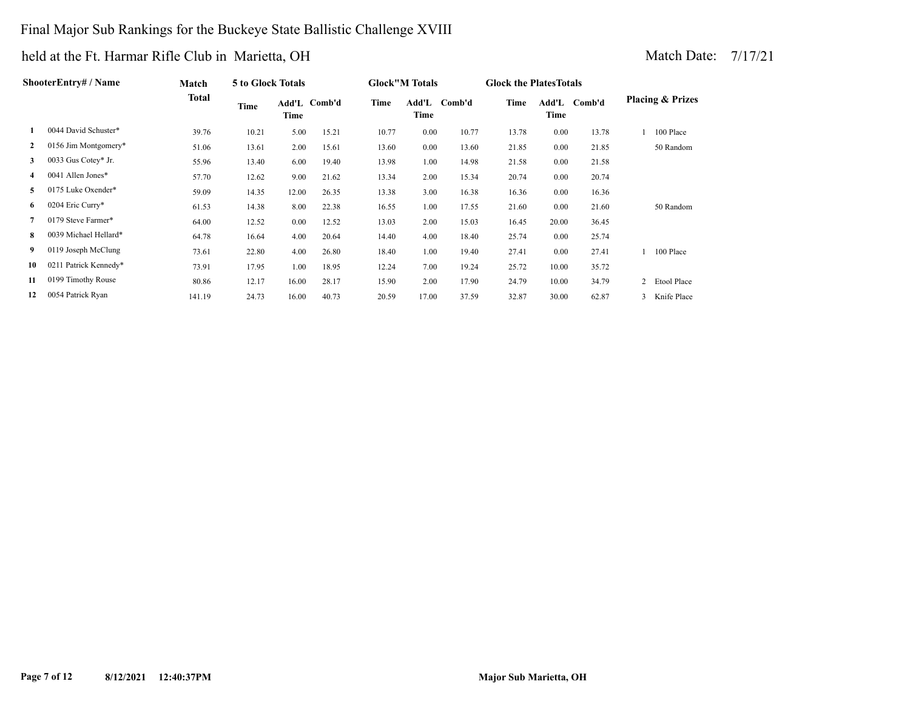#### Final Major Sub Rankings for the Buckeye State Ballistic Challenge XVIII

|              | ShooterEntry# / Name  | Match  | 5 to Glock Totals |       |              |       | <b>Glock</b> "M Totals |              | <b>Glock the Plates Totals</b> |       |              |                             |
|--------------|-----------------------|--------|-------------------|-------|--------------|-------|------------------------|--------------|--------------------------------|-------|--------------|-----------------------------|
|              |                       | Total  | Time              | Time  | Add'L Comb'd | Time  | Time                   | Add'L Comb'd | Time                           | Time  | Add'L Comb'd | <b>Placing &amp; Prizes</b> |
|              | 0044 David Schuster*  | 39.76  | 10.21             | 5.00  | 15.21        | 10.77 | 0.00                   | 10.77        | 13.78                          | 0.00  | 13.78        | 100 Place                   |
| $\mathbf{2}$ | 0156 Jim Montgomery*  | 51.06  | 13.61             | 2.00  | 15.61        | 13.60 | 0.00                   | 13.60        | 21.85                          | 0.00  | 21.85        | 50 Random                   |
| 3            | 0033 Gus Cotey* Jr.   | 55.96  | 13.40             | 6.00  | 19.40        | 13.98 | 1.00                   | 14.98        | 21.58                          | 0.00  | 21.58        |                             |
|              | 0041 Allen Jones*     | 57.70  | 12.62             | 9.00  | 21.62        | 13.34 | 2.00                   | 15.34        | 20.74                          | 0.00  | 20.74        |                             |
| 5.           | 0175 Luke Oxender*    | 59.09  | 14.35             | 12.00 | 26.35        | 13.38 | 3.00                   | 16.38        | 16.36                          | 0.00  | 16.36        |                             |
| 6            | 0204 Eric Curry*      | 61.53  | 14.38             | 8.00  | 22.38        | 16.55 | 1.00                   | 17.55        | 21.60                          | 0.00  | 21.60        | 50 Random                   |
|              | 0179 Steve Farmer*    | 64.00  | 12.52             | 0.00  | 12.52        | 13.03 | 2.00                   | 15.03        | 16.45                          | 20.00 | 36.45        |                             |
| 8            | 0039 Michael Hellard* | 64.78  | 16.64             | 4.00  | 20.64        | 14.40 | 4.00                   | 18.40        | 25.74                          | 0.00  | 25.74        |                             |
| 9            | 0119 Joseph McClung   | 73.61  | 22.80             | 4.00  | 26.80        | 18.40 | 1.00                   | 19.40        | 27.41                          | 0.00  | 27.41        | 100 Place                   |
| 10           | 0211 Patrick Kennedy* | 73.91  | 17.95             | 1.00  | 18.95        | 12.24 | 7.00                   | 19.24        | 25.72                          | 10.00 | 35.72        |                             |
| 11           | 0199 Timothy Rouse    | 80.86  | 12.17             | 16.00 | 28.17        | 15.90 | 2.00                   | 17.90        | 24.79                          | 10.00 | 34.79        | 2 Etool Place               |
| 12           | 0054 Patrick Ryan     | 141.19 | 24.73             | 16.00 | 40.73        | 20.59 | 17.00                  | 37.59        | 32.87                          | 30.00 | 62.87        | 3 Knife Place               |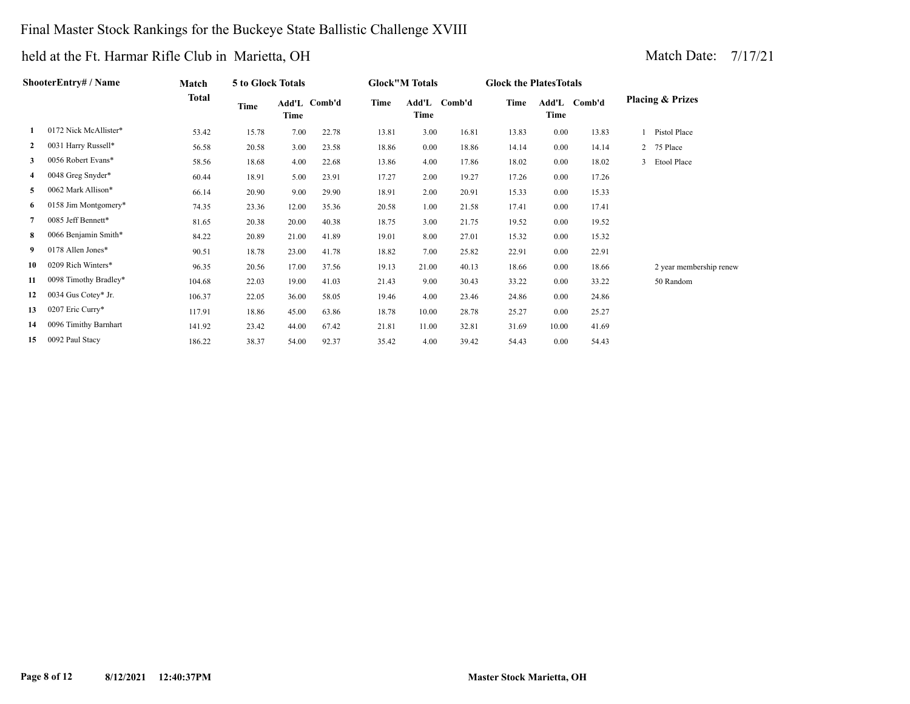#### Final Master Stock Rankings for the Buckeye State Ballistic Challenge XVIII

| ShooterEntry# / Name |                       | Match<br>Total | 5 to Glock Totals |                      |       | <b>Glock"M Totals</b>        |       |       | <b>Glock the Plates Totals</b> |       |              |                             |
|----------------------|-----------------------|----------------|-------------------|----------------------|-------|------------------------------|-------|-------|--------------------------------|-------|--------------|-----------------------------|
|                      |                       |                | Time              | Add'L Comb'd<br>Time |       | Time<br>Add'L Comb'd<br>Time |       |       | Time                           | Time  | Add'L Comb'd | <b>Placing &amp; Prizes</b> |
|                      | 0172 Nick McAllister* | 53.42          | 15.78             | 7.00                 | 22.78 | 13.81                        | 3.00  | 16.81 | 13.83                          | 0.00  | 13.83        | Pistol Place                |
| $\mathbf{2}$         | 0031 Harry Russell*   | 56.58          | 20.58             | 3.00                 | 23.58 | 18.86                        | 0.00  | 18.86 | 14.14                          | 0.00  | 14.14        | 2 75 Place                  |
| 3                    | 0056 Robert Evans*    | 58.56          | 18.68             | 4.00                 | 22.68 | 13.86                        | 4.00  | 17.86 | 18.02                          | 0.00  | 18.02        | 3 Etool Place               |
| 4                    | 0048 Greg Snyder*     | 60.44          | 18.91             | 5.00                 | 23.91 | 17.27                        | 2.00  | 19.27 | 17.26                          | 0.00  | 17.26        |                             |
| 5                    | 0062 Mark Allison*    | 66.14          | 20.90             | 9.00                 | 29.90 | 18.91                        | 2.00  | 20.91 | 15.33                          | 0.00  | 15.33        |                             |
| 6                    | 0158 Jim Montgomery*  | 74.35          | 23.36             | 12.00                | 35.36 | 20.58                        | 1.00  | 21.58 | 17.41                          | 0.00  | 17.41        |                             |
| 7                    | 0085 Jeff Bennett*    | 81.65          | 20.38             | 20.00                | 40.38 | 18.75                        | 3.00  | 21.75 | 19.52                          | 0.00  | 19.52        |                             |
| 8                    | 0066 Benjamin Smith*  | 84.22          | 20.89             | 21.00                | 41.89 | 19.01                        | 8.00  | 27.01 | 15.32                          | 0.00  | 15.32        |                             |
| 9                    | 0178 Allen Jones*     | 90.51          | 18.78             | 23.00                | 41.78 | 18.82                        | 7.00  | 25.82 | 22.91                          | 0.00  | 22.91        |                             |
| 10                   | 0209 Rich Winters*    | 96.35          | 20.56             | 17.00                | 37.56 | 19.13                        | 21.00 | 40.13 | 18.66                          | 0.00  | 18.66        | 2 year membership renew     |
| 11                   | 0098 Timothy Bradley* | 104.68         | 22.03             | 19.00                | 41.03 | 21.43                        | 9.00  | 30.43 | 33.22                          | 0.00  | 33.22        | 50 Random                   |
| 12                   | 0034 Gus Cotey* Jr.   | 106.37         | 22.05             | 36.00                | 58.05 | 19.46                        | 4.00  | 23.46 | 24.86                          | 0.00  | 24.86        |                             |
| 13                   | 0207 Eric Curry*      | 117.91         | 18.86             | 45.00                | 63.86 | 18.78                        | 10.00 | 28.78 | 25.27                          | 0.00  | 25.27        |                             |
| 14                   | 0096 Timithy Barnhart | 141.92         | 23.42             | 44.00                | 67.42 | 21.81                        | 11.00 | 32.81 | 31.69                          | 10.00 | 41.69        |                             |
| 15                   | 0092 Paul Stacy       | 186.22         | 38.37             | 54.00                | 92.37 | 35.42                        | 4.00  | 39.42 | 54.43                          | 0.00  | 54.43        |                             |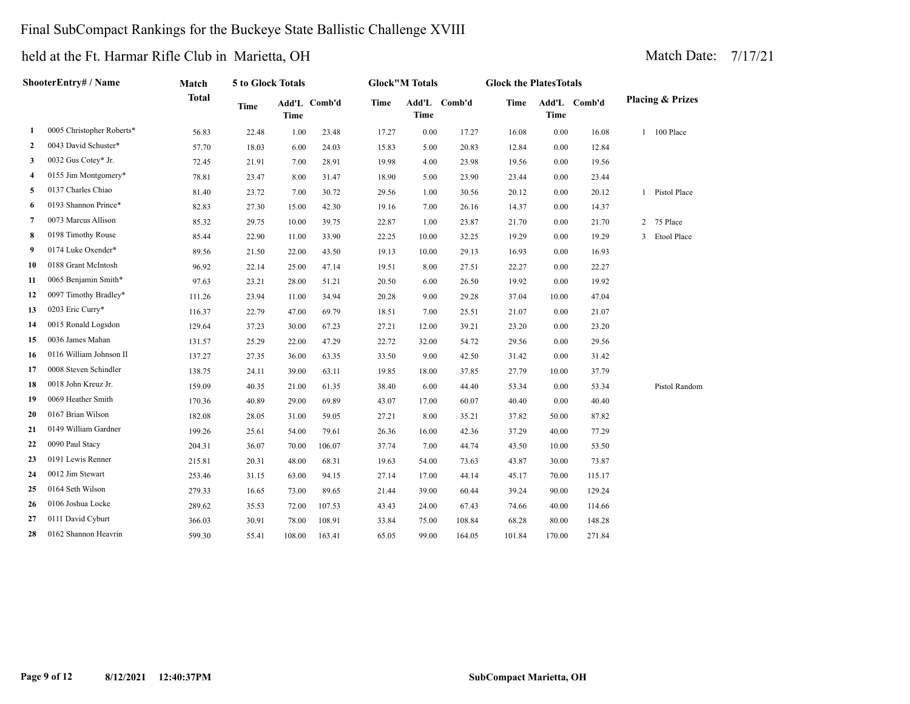#### Final SubCompact Rankings for the Buckeye State Ballistic Challenge XVIII

| ShooterEntry# / Name |                           | Match        | 5 to Glock Totals |             |              | <b>Glock</b> "M Totals |       |              | <b>Glock the PlatesTotals</b> |             |              |                             |                    |
|----------------------|---------------------------|--------------|-------------------|-------------|--------------|------------------------|-------|--------------|-------------------------------|-------------|--------------|-----------------------------|--------------------|
|                      |                           | <b>Total</b> | <b>Time</b>       | <b>Time</b> | Add'L Comb'd | Time                   | Time  | Add'L Comb'd | Time                          | <b>Time</b> | Add'L Comb'd | <b>Placing &amp; Prizes</b> |                    |
| 1                    | 0005 Christopher Roberts* | 56.83        | 22.48             | 1.00        | 23.48        | 17.27                  | 0.00  | 17.27        | 16.08                         | 0.00        | 16.08        |                             | 100 Place          |
| 2                    | 0043 David Schuster*      | 57.70        | 18.03             | 6.00        | 24.03        | 15.83                  | 5.00  | 20.83        | 12.84                         | 0.00        | 12.84        |                             |                    |
| 3                    | 0032 Gus Cotey* Jr.       | 72.45        | 21.91             | 7.00        | 28.91        | 19.98                  | 4.00  | 23.98        | 19.56                         | 0.00        | 19.56        |                             |                    |
| 4                    | 0155 Jim Montgomery*      | 78.81        | 23.47             | 8.00        | 31.47        | 18.90                  | 5.00  | 23.90        | 23.44                         | 0.00        | 23.44        |                             |                    |
| 5                    | 0137 Charles Chiao        | 81.40        | 23.72             | 7.00        | 30.72        | 29.56                  | 1.00  | 30.56        | 20.12                         | 0.00        | 20.12        |                             | 1 Pistol Place     |
| 6                    | 0193 Shannon Prince*      | 82.83        | 27.30             | 15.00       | 42.30        | 19.16                  | 7.00  | 26.16        | 14.37                         | 0.00        | 14.37        |                             |                    |
| 7                    | 0073 Marcus Allison       | 85.32        | 29.75             | 10.00       | 39.75        | 22.87                  | 1.00  | 23.87        | 21.70                         | 0.00        | 21.70        |                             | 2 75 Place         |
| 8                    | 0198 Timothy Rouse        | 85.44        | 22.90             | 11.00       | 33.90        | 22.25                  | 10.00 | 32.25        | 19.29                         | 0.00        | 19.29        | 3                           | <b>Etool Place</b> |
| 9                    | 0174 Luke Oxender*        | 89.56        | 21.50             | 22.00       | 43.50        | 19.13                  | 10.00 | 29.13        | 16.93                         | 0.00        | 16.93        |                             |                    |
| 10                   | 0188 Grant McIntosh       | 96.92        | 22.14             | 25.00       | 47.14        | 19.51                  | 8.00  | 27.51        | 22.27                         | 0.00        | 22.27        |                             |                    |
| 11                   | 0065 Benjamin Smith*      | 97.63        | 23.21             | 28.00       | 51.21        | 20.50                  | 6.00  | 26.50        | 19.92                         | 0.00        | 19.92        |                             |                    |
| 12                   | 0097 Timothy Bradley*     | 111.26       | 23.94             | 11.00       | 34.94        | 20.28                  | 9.00  | 29.28        | 37.04                         | 10.00       | 47.04        |                             |                    |
| 13                   | 0203 Eric Curry*          | 116.37       | 22.79             | 47.00       | 69.79        | 18.51                  | 7.00  | 25.51        | 21.07                         | 0.00        | 21.07        |                             |                    |
| 14                   | 0015 Ronald Logsdon       | 129.64       | 37.23             | 30.00       | 67.23        | 27.21                  | 12.00 | 39.21        | 23.20                         | 0.00        | 23.20        |                             |                    |
| 15                   | 0036 James Mahan          | 131.57       | 25.29             | 22.00       | 47.29        | 22.72                  | 32.00 | 54.72        | 29.56                         | 0.00        | 29.56        |                             |                    |
| 16                   | 0116 William Johnson II   | 137.27       | 27.35             | 36.00       | 63.35        | 33.50                  | 9.00  | 42.50        | 31.42                         | 0.00        | 31.42        |                             |                    |
| 17                   | 0008 Steven Schindler     | 138.75       | 24.11             | 39.00       | 63.11        | 19.85                  | 18.00 | 37.85        | 27.79                         | 10.00       | 37.79        |                             |                    |
| 18                   | 0018 John Kreuz Jr.       | 159.09       | 40.35             | 21.00       | 61.35        | 38.40                  | 6.00  | 44.40        | 53.34                         | 0.00        | 53.34        |                             | Pistol Random      |
| 19                   | 0069 Heather Smith        | 170.36       | 40.89             | 29.00       | 69.89        | 43.07                  | 17.00 | 60.07        | 40.40                         | 0.00        | 40.40        |                             |                    |
| 20                   | 0167 Brian Wilson         | 182.08       | 28.05             | 31.00       | 59.05        | 27.21                  | 8.00  | 35.21        | 37.82                         | 50.00       | 87.82        |                             |                    |
| 21                   | 0149 William Gardner      | 199.26       | 25.61             | 54.00       | 79.61        | 26.36                  | 16.00 | 42.36        | 37.29                         | 40.00       | 77.29        |                             |                    |
| 22                   | 0090 Paul Stacy           | 204.31       | 36.07             | 70.00       | 106.07       | 37.74                  | 7.00  | 44.74        | 43.50                         | 10.00       | 53.50        |                             |                    |
| 23                   | 0191 Lewis Renner         | 215.81       | 20.31             | 48.00       | 68.31        | 19.63                  | 54.00 | 73.63        | 43.87                         | 30.00       | 73.87        |                             |                    |
| 24                   | 0012 Jim Stewart          | 253.46       | 31.15             | 63.00       | 94.15        | 27.14                  | 17.00 | 44.14        | 45.17                         | 70.00       | 115.17       |                             |                    |
| 25                   | 0164 Seth Wilson          | 279.33       | 16.65             | 73.00       | 89.65        | 21.44                  | 39.00 | 60.44        | 39.24                         | 90.00       | 129.24       |                             |                    |
| 26                   | 0106 Joshua Locke         | 289.62       | 35.53             | 72.00       | 107.53       | 43.43                  | 24.00 | 67.43        | 74.66                         | 40.00       | 114.66       |                             |                    |
| 27                   | 0111 David Cyburt         | 366.03       | 30.91             | 78.00       | 108.91       | 33.84                  | 75.00 | 108.84       | 68.28                         | 80.00       | 148.28       |                             |                    |
| 28                   | 0162 Shannon Heavrin      | 599.30       | 55.41             | 108.00      | 163.41       | 65.05                  | 99.00 | 164.05       | 101.84                        | 170.00      | 271.84       |                             |                    |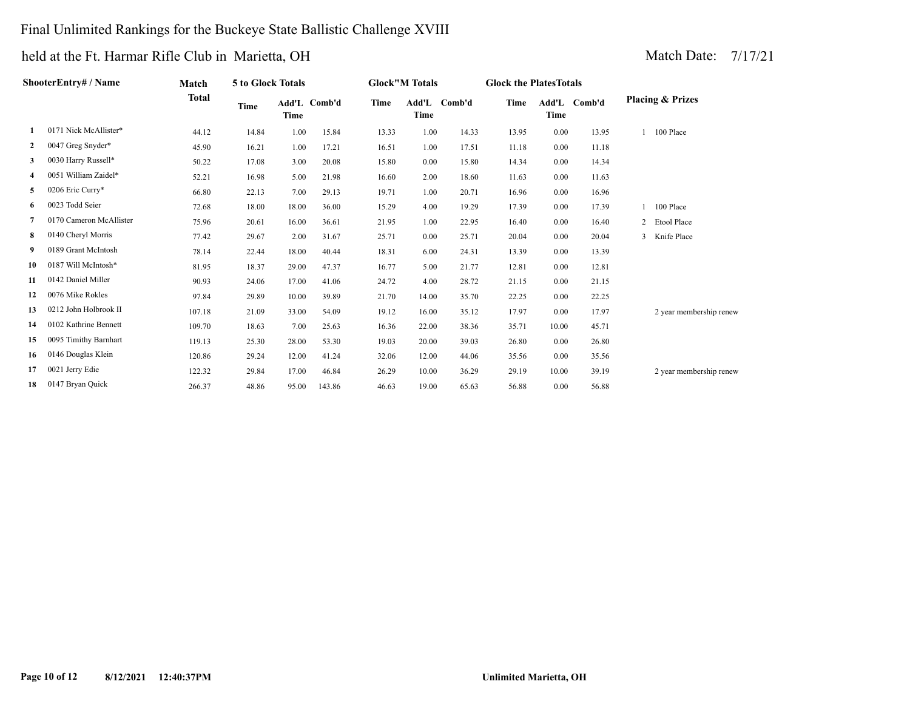#### Final Unlimited Rankings for the Buckeye State Ballistic Challenge XVIII

| ShooterEntry# / Name |                         | Match        | 5 to Glock Totals |       |              | <b>Glock"M Totals</b> |               |        | <b>Glock the Plates Totals</b> |       |              |                             |
|----------------------|-------------------------|--------------|-------------------|-------|--------------|-----------------------|---------------|--------|--------------------------------|-------|--------------|-----------------------------|
|                      |                         | <b>Total</b> | Time              | Time  | Add'L Comb'd | <b>Time</b>           | Add'L<br>Time | Comb'd | Time                           | Time  | Add'L Comb'd | <b>Placing &amp; Prizes</b> |
| 1                    | 0171 Nick McAllister*   | 44.12        | 14.84             | 1.00  | 15.84        | 13.33                 | 1.00          | 14.33  | 13.95                          | 0.00  | 13.95        | 100 Place                   |
| $\mathbf{2}$         | 0047 Greg Snyder*       | 45.90        | 16.21             | 1.00  | 17.21        | 16.51                 | 1.00          | 17.51  | 11.18                          | 0.00  | 11.18        |                             |
| 3                    | 0030 Harry Russell*     | 50.22        | 17.08             | 3.00  | 20.08        | 15.80                 | 0.00          | 15.80  | 14.34                          | 0.00  | 14.34        |                             |
|                      | 0051 William Zaidel*    | 52.21        | 16.98             | 5.00  | 21.98        | 16.60                 | 2.00          | 18.60  | 11.63                          | 0.00  | 11.63        |                             |
| 5                    | 0206 Eric Curry*        | 66.80        | 22.13             | 7.00  | 29.13        | 19.71                 | 1.00          | 20.71  | 16.96                          | 0.00  | 16.96        |                             |
| 6                    | 0023 Todd Seier         | 72.68        | 18.00             | 18.00 | 36.00        | 15.29                 | 4.00          | 19.29  | 17.39                          | 0.00  | 17.39        | 100 Place                   |
| 7                    | 0170 Cameron McAllister | 75.96        | 20.61             | 16.00 | 36.61        | 21.95                 | 1.00          | 22.95  | 16.40                          | 0.00  | 16.40        | 2 Etool Place               |
| 8                    | 0140 Cheryl Morris      | 77.42        | 29.67             | 2.00  | 31.67        | 25.71                 | 0.00          | 25.71  | 20.04                          | 0.00  | 20.04        | 3 Knife Place               |
| 9                    | 0189 Grant McIntosh     | 78.14        | 22.44             | 18.00 | 40.44        | 18.31                 | 6.00          | 24.31  | 13.39                          | 0.00  | 13.39        |                             |
| 10                   | 0187 Will McIntosh*     | 81.95        | 18.37             | 29.00 | 47.37        | 16.77                 | 5.00          | 21.77  | 12.81                          | 0.00  | 12.81        |                             |
| 11                   | 0142 Daniel Miller      | 90.93        | 24.06             | 17.00 | 41.06        | 24.72                 | 4.00          | 28.72  | 21.15                          | 0.00  | 21.15        |                             |
| 12                   | 0076 Mike Rokles        | 97.84        | 29.89             | 10.00 | 39.89        | 21.70                 | 14.00         | 35.70  | 22.25                          | 0.00  | 22.25        |                             |
| 13                   | 0212 John Holbrook II   | 107.18       | 21.09             | 33.00 | 54.09        | 19.12                 | 16.00         | 35.12  | 17.97                          | 0.00  | 17.97        | 2 year membership renew     |
| 14                   | 0102 Kathrine Bennett   | 109.70       | 18.63             | 7.00  | 25.63        | 16.36                 | 22.00         | 38.36  | 35.71                          | 10.00 | 45.71        |                             |
| 15                   | 0095 Timithy Barnhart   | 119.13       | 25.30             | 28.00 | 53.30        | 19.03                 | 20.00         | 39.03  | 26.80                          | 0.00  | 26.80        |                             |
| 16                   | 0146 Douglas Klein      | 120.86       | 29.24             | 12.00 | 41.24        | 32.06                 | 12.00         | 44.06  | 35.56                          | 0.00  | 35.56        |                             |
| 17                   | 0021 Jerry Edie         | 122.32       | 29.84             | 17.00 | 46.84        | 26.29                 | 10.00         | 36.29  | 29.19                          | 10.00 | 39.19        | 2 year membership renew     |
| 18                   | 0147 Bryan Quick        | 266.37       | 48.86             | 95.00 | 143.86       | 46.63                 | 19.00         | 65.63  | 56.88                          | 0.00  | 56.88        |                             |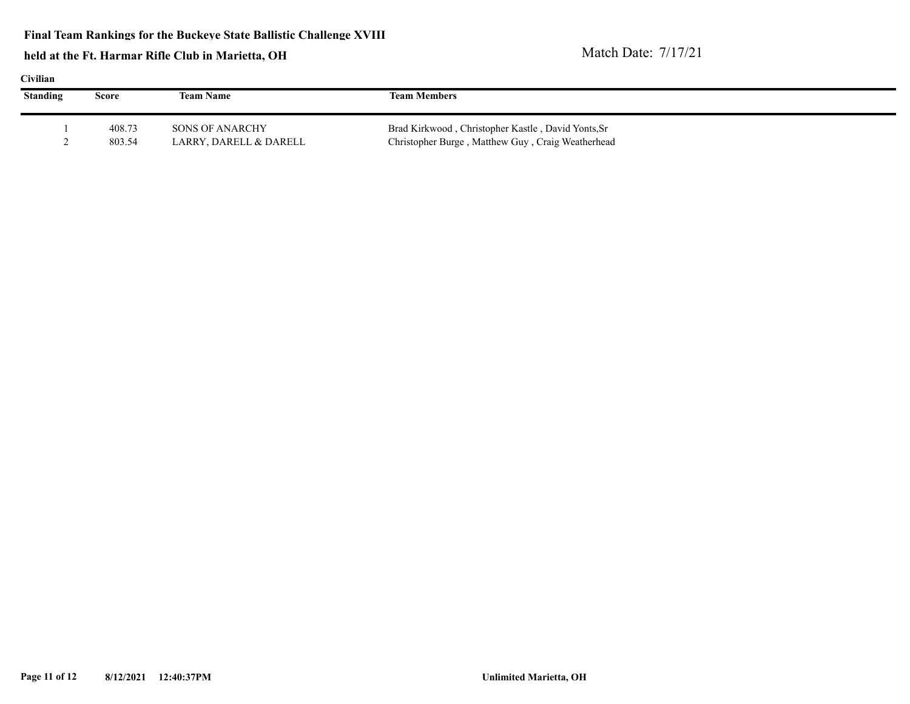| v<br>I |  |
|--------|--|

| Civilian        |        |                        |                                                    |  |  |  |  |  |
|-----------------|--------|------------------------|----------------------------------------------------|--|--|--|--|--|
| <b>Standing</b> | Score  | <b>Team Name</b>       | <b>Team Members</b>                                |  |  |  |  |  |
|                 |        |                        |                                                    |  |  |  |  |  |
|                 | 408.73 | SONS OF ANARCHY        | Brad Kirkwood, Christopher Kastle, David Yonts, Sr |  |  |  |  |  |
|                 | 803.54 | LARRY, DARELL & DARELL | Christopher Burge, Matthew Guy, Craig Weatherhead  |  |  |  |  |  |